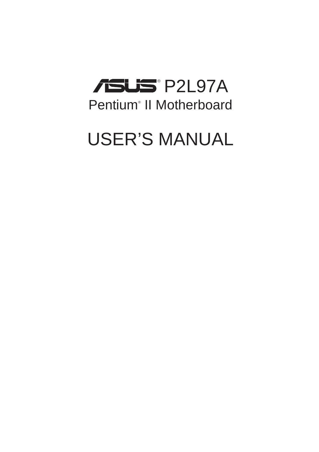

## USER'S MANUAL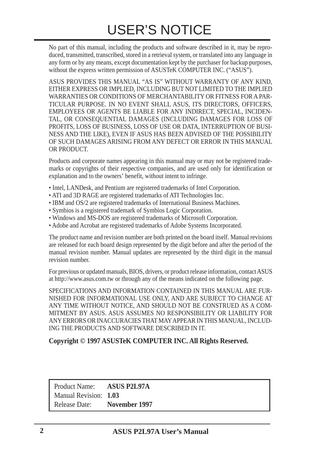No part of this manual, including the products and software described in it, may be reproduced, transmitted, transcribed, stored in a retrieval system, or translated into any language in any form or by any means, except documentation kept by the purchaser for backup purposes, without the express written permission of ASUSTeK COMPUTER INC. ("ASUS").

ASUS PROVIDES THIS MANUAL "AS IS" WITHOUT WARRANTY OF ANY KIND, EITHER EXPRESS OR IMPLIED, INCLUDING BUT NOT LIMITED TO THE IMPLIED WARRANTIES OR CONDITIONS OF MERCHANTABILITY OR FITNESS FOR A PAR-TICULAR PURPOSE. IN NO EVENT SHALL ASUS, ITS DIRECTORS, OFFICERS, EMPLOYEES OR AGENTS BE LIABLE FOR ANY INDIRECT, SPECIAL, INCIDEN-TAL, OR CONSEQUENTIAL DAMAGES (INCLUDING DAMAGES FOR LOSS OF PROFITS, LOSS OF BUSINESS, LOSS OF USE OR DATA, INTERRUPTION OF BUSI-NESS AND THE LIKE), EVEN IF ASUS HAS BEEN ADVISED OF THE POSSIBILITY OF SUCH DAMAGES ARISING FROM ANY DEFECT OR ERROR IN THIS MANUAL OR PRODUCT.

Products and corporate names appearing in this manual may or may not be registered trademarks or copyrights of their respective companies, and are used only for identification or explanation and to the owners' benefit, without intent to infringe.

- Intel, LANDesk, and Pentium are registered trademarks of Intel Corporation.
- ATI and 3D RAGE are registered trademarks of ATI Technologies Inc.
- IBM and OS/2 are registered trademarks of International Business Machines.
- Symbios is a registered trademark of Symbios Logic Corporation.
- Windows and MS-DOS are registered trademarks of Microsoft Corporation.
- Adobe and Acrobat are registered trademarks of Adobe Systems Incorporated.

The product name and revision number are both printed on the board itself. Manual revisions are released for each board design represented by the digit before and after the period of the manual revision number. Manual updates are represented by the third digit in the manual revision number.

For previous or updated manuals, BIOS, drivers, or product release information, contact ASUS at http://www.asus.com.tw or through any of the means indicated on the following page.

SPECIFICATIONS AND INFORMATION CONTAINED IN THIS MANUAL ARE FUR-NISHED FOR INFORMATIONAL USE ONLY, AND ARE SUBJECT TO CHANGE AT ANY TIME WITHOUT NOTICE, AND SHOULD NOT BE CONSTRUED AS A COM-MITMENT BY ASUS. ASUS ASSUMES NO RESPONSIBILITY OR LIABILITY FOR ANY ERRORS OR INACCURACIES THAT MAY APPEAR IN THIS MANUAL, INCLUD-ING THE PRODUCTS AND SOFTWARE DESCRIBED IN IT.

#### **Copyright © 1997 ASUSTeK COMPUTER INC. All Rights Reserved.**

Product Name: **ASUS P2L97A** Manual Revision: **1.03** Release Date: **November 1997**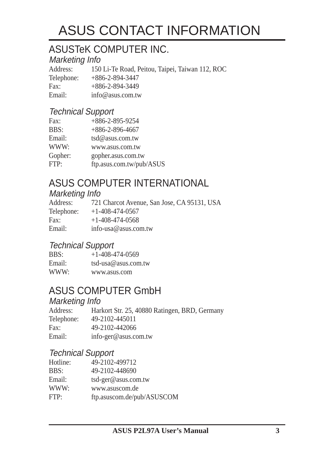## ASUS CONTACT INFORMATION

### ASUSTeK COMPUTER INC.

#### Marketing Info

Address: 150 Li-Te Road, Peitou, Taipei, Taiwan 112, ROC Telephone: +886-2-894-3447 Fax: +886-2-894-3449 Email: info@asus.com.tw

#### Technical Support

| Fax:    | $+886 - 2 - 895 - 9254$  |
|---------|--------------------------|
| BBS:    | $+886 - 2 - 896 - 4667$  |
| Email:  | tsd@asus.com.tw          |
| WWW:    | www.asus.com.tw          |
| Gopher: | gopher.asus.com.tw       |
| FTP:    | ftp.asus.com.tw/pub/ASUS |

## ASUS COMPUTER INTERNATIONAL

### Marketing Info

| Address:   | 721 Charcot Avenue, San Jose, CA 95131, USA |
|------------|---------------------------------------------|
| Telephone: | $+1-408-474-0567$                           |
| Fax:       | $+1-408-474-0568$                           |
| Email:     | info-usa@asus.com.tw                        |

#### Technical Support

| BBS:   | $+1 - 408 - 474 - 0569$ |
|--------|-------------------------|
| Email: | $tsd-usa@assus.com.tw$  |
| WWW:   | www.asus.com            |

### ASUS COMPUTER GmbH

#### Marketing Info

| Address:   | Harkort Str. 25, 40880 Ratingen, BRD, Germany |
|------------|-----------------------------------------------|
| Telephone: | 49-2102-445011                                |
| Fax:       | 49-2102-442066                                |
| Email:     | info-ger@asus.com.tw                          |

#### Technical Support

| Hotline: | 49-2102-499712             |
|----------|----------------------------|
| BBS:     | 49-2102-448690             |
| Email:   | $tsd-ger@$ as us.com.tw    |
| WWW:     | www.asuscom.de             |
| FTP:     | ftp.asuscom.de/pub/ASUSCOM |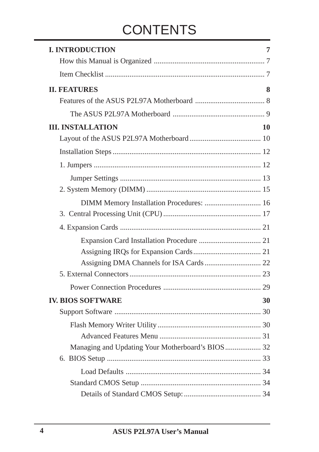## **CONTENTS**

| <b>I. INTRODUCTION</b>   |    |
|--------------------------|----|
|                          |    |
|                          |    |
| <b>II. FEATURES</b>      | 8  |
|                          |    |
|                          |    |
| <b>III. INSTALLATION</b> | 10 |
|                          |    |
|                          |    |
|                          |    |
|                          |    |
|                          |    |
|                          |    |
|                          |    |
|                          |    |
|                          |    |
|                          |    |
|                          |    |
|                          |    |
|                          |    |
|                          |    |
| <b>IV. BIOS SOFTWARE</b> | 30 |
|                          |    |
|                          |    |
|                          |    |
|                          |    |
|                          |    |
|                          |    |
|                          |    |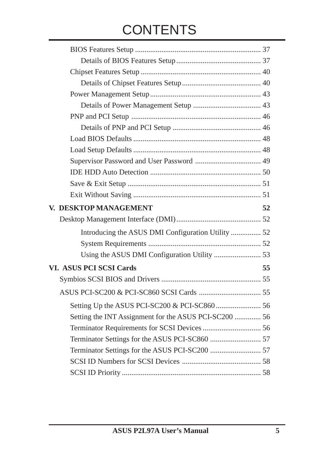## **CONTENTS**

| V. DESKTOP MANAGEMENT                                 | 52 |
|-------------------------------------------------------|----|
|                                                       |    |
| Introducing the ASUS DMI Configuration Utility  52    |    |
|                                                       |    |
|                                                       |    |
| <b>VI. ASUS PCI SCSI Cards</b>                        | 55 |
|                                                       |    |
|                                                       |    |
|                                                       |    |
| Setting the INT Assignment for the ASUS PCI-SC200  56 |    |
|                                                       |    |
|                                                       |    |
|                                                       |    |
|                                                       |    |
|                                                       |    |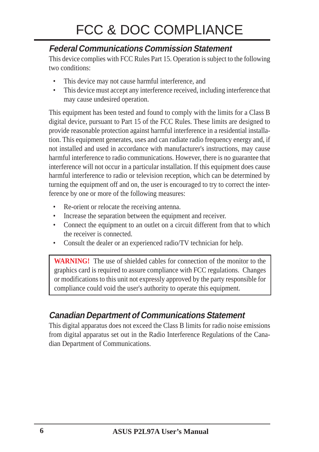## FCC & DOC COMPLIANCE

### **Federal Communications Commission Statement**

This device complies with FCC Rules Part 15. Operation is subject to the following two conditions:

- This device may not cause harmful interference, and
- This device must accept any interference received, including interference that may cause undesired operation.

This equipment has been tested and found to comply with the limits for a Class B digital device, pursuant to Part 15 of the FCC Rules. These limits are designed to provide reasonable protection against harmful interference in a residential installation. This equipment generates, uses and can radiate radio frequency energy and, if not installed and used in accordance with manufacturer's instructions, may cause harmful interference to radio communications. However, there is no guarantee that interference will not occur in a particular installation. If this equipment does cause harmful interference to radio or television reception, which can be determined by turning the equipment off and on, the user is encouraged to try to correct the interference by one or more of the following measures:

- Re-orient or relocate the receiving antenna.
- Increase the separation between the equipment and receiver.
- Connect the equipment to an outlet on a circuit different from that to which the receiver is connected.
- Consult the dealer or an experienced radio/TV technician for help.

**WARNING!** The use of shielded cables for connection of the monitor to the graphics card is required to assure compliance with FCC regulations. Changes or modifications to this unit not expressly approved by the party responsible for compliance could void the user's authority to operate this equipment.

#### **Canadian Department of Communications Statement**

This digital apparatus does not exceed the Class B limits for radio noise emissions from digital apparatus set out in the Radio Interference Regulations of the Canadian Department of Communications.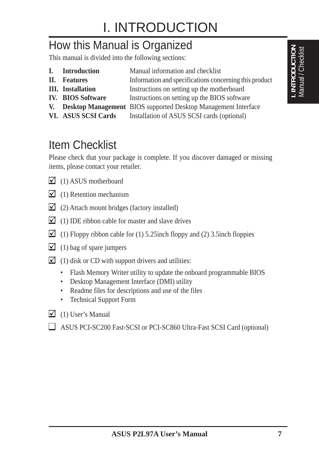## I. INTRODUCTION

## How this Manual is Organized

This manual is divided into the following sections:

- **I.** Introduction Manual information and checklist
- **II.** Features Information and specifications concerning this product
- **III.** Installation Instructions on setting up the motherboard
- **IV. BIOS Software** Instructions on setting up the BIOS software
- **V. Desktop Management** BIOS supported Desktop Management Interface
	-
- VI. ASUS SCSI Cards Installation of ASUS SCSI cards (optional)

## Item Checklist

Please check that your package is complete. If you discover damaged or missing items, please contact your retailer.

- $\Box$  (1) ASUS motherboard
- $\Box$  (1) Retention mechanism
- $\Box$  (2) Attach mount bridges (factory installed)
- $\Box$  (1) IDE ribbon cable for master and slave drives
- (1) Floppy ribbon cable for (1) 5.25inch floppy and (2) 3.5inch floppies
- $\Box$  (1) bag of spare jumpers
- $\Box$  (1) disk or CD with support drivers and utilities:
	- Flash Memory Writer utility to update the onboard programmable BIOS
	- Desktop Management Interface (DMI) utility
	- Readme files for descriptions and use of the files
	- Technical Support Form
- $\Box$  (1) User's Manual
- ASUS PCI-SC200 Fast-SCSI or PCI-SC860 Ultra-Fast SCSI Card (optional)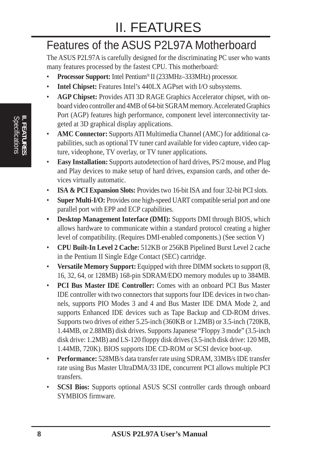## II. FEATURES

## Features of the ASUS P2L97A Motherboard

The ASUS P2L97A is carefully designed for the discriminating PC user who wants many features processed by the fastest CPU. This motherboard:

- **Processor Support:** Intel Pentium® II (233MHz–333MHz) processor.
- **Intel Chipset:** Features Intel's 440LX AGPset with I/O subsystems.
- **AGP Chipset:** Provides ATI 3D RAGE Graphics Accelerator chipset, with onboard video controller and 4MB of 64-bit SGRAM memory. Accelerated Graphics Port (AGP) features high performance, component level interconnectivity targeted at 3D graphical display applications.
- **AMC Connector:** Supports ATI Multimedia Channel (AMC) for additional capabilities, such as optional TV tuner card available for video capture, video capture, videophone, TV overlay, or TV tuner applications.
- **Easy Installation:** Supports autodetection of hard drives, PS/2 mouse, and Plug and Play devices to make setup of hard drives, expansion cards, and other devices virtually automatic.
- **ISA & PCI Expansion Slots:** Provides two 16-bit ISA and four 32-bit PCI slots.
- **Super Multi-I/O:** Provides one high-speed UART compatible serial port and one parallel port with EPP and ECP capabilities.
- **Desktop Management Interface (DMI):** Supports DMI through BIOS, which allows hardware to communicate within a standard protocol creating a higher level of compatibility. (Requires DMI-enabled components.) (See section V)
- **CPU Built-In Level 2 Cache:** 512KB or 256KB Pipelined Burst Level 2 cache in the Pentium II Single Edge Contact (SEC) cartridge.
- **Versatile Memory Support:** Equipped with three DIMM sockets to support (8, 16, 32, 64, or 128MB) 168-pin SDRAM/EDO memory modules up to 384MB.
- **PCI Bus Master IDE Controller:** Comes with an onboard PCI Bus Master IDE controller with two connectors that supports four IDE devices in two channels, supports PIO Modes 3 and 4 and Bus Master IDE DMA Mode 2, and supports Enhanced IDE devices such as Tape Backup and CD-ROM drives. Supports two drives of either 5.25-inch (360KB or 1.2MB) or 3.5-inch (720KB, 1.44MB, or 2.88MB) disk drives. Supports Japanese "Floppy 3 mode" (3.5-inch disk drive: 1.2MB) and LS-120 floppy disk drives (3.5-inch disk drive: 120 MB, 1.44MB, 720K). BIOS supports IDE CD-ROM or SCSI device boot-up.
- **Performance:** 528MB/s data transfer rate using SDRAM, 33MB/s IDE transfer rate using Bus Master UltraDMA/33 IDE, concurrent PCI allows multiple PCI transfers.
- **SCSI Bios:** Supports optional ASUS SCSI controller cards through onboard SYMBIOS firmware.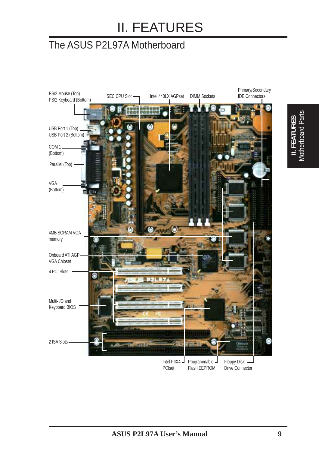## II. FEATURES

### The ASUS P2L97A Motherboard

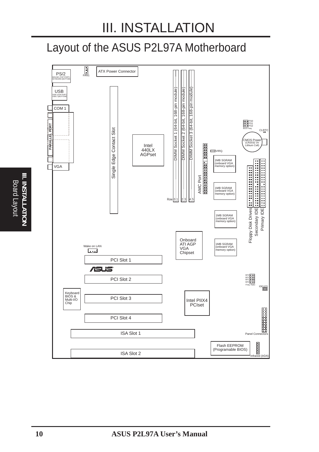## Layout of the ASUS P2L97A Motherboard



**III. INSTALLATIONII. INSTALLATION** Board Layout Board Layout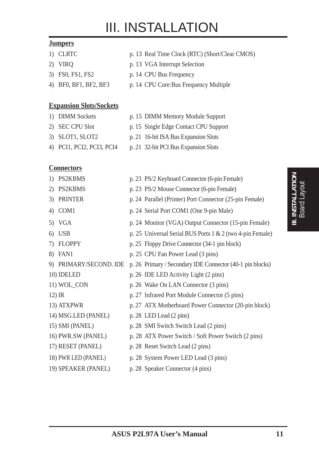#### **Jumpers**

- 
- 
- 
- 

#### **Expansion Slots/Sockets**

- 
- 
- 
- 
- 1) CLRTC p. 13 Real Time Clock (RTC) (Short/Clear CMOS)
- 2) VIRQ p. 13 VGA Interrupt Selection
- 3) FS0, FS1, FS2 p. 14 CPU Bus Frequency
- 4) BF0, BF1, BF2, BF3 p. 14 CPU Core:Bus Frequency Multiple
- 1) DIMM Sockets p. 15 DIMM Memory Module Support
- 2) SEC CPU Slot p. 15 Single Edge Contact CPU Support
- 3) SLOT1, SLOT2 p. 21 16-bit ISA Bus Expansion Slots
- 4) PCI1, PCI2, PCI3, PCI4 p. 21 32-bit PCI Bus Expansion Slots

#### **Connectors**

1) PS2KBMS p. 23 PS/2 Keyboard Connector (6-pin Female) 2) PS2KBMS p. 23 PS/2 Mouse Connector (6-pin Female) 3) PRINTER p. 24 Parallel (Printer) Port Connector (25-pin Female) 4) COM1 p. 24 Serial Port COM1 (One 9-pin Male) 5) VGA p. 24 Monitor (VGA) Output Connector (15-pin Female) 6) USB p. 25 Universal Serial BUS Ports 1 & 2 (two 4-pin Female) 7) FLOPPY p. 25 Floppy Drive Connector (34-1 pin block) 8) FAN1 p. 25 CPU Fan Power Lead (3 pins) 9) PRIMARY/SECOND. IDE p. 26 Primary / Secondary IDE Connector (40-1 pin blocks) 10) IDELED p. 26 IDE LED Activity Light (2 pins) 11) WOL CON p. 26 Wake On LAN Connector (3 pins) 12) IR p. 27 Infrared Port Module Connector (5 pins) 13) ATXPWR p. 27 ATX Motherboard Power Connector (20-pin block) 14) MSG.LED (PANEL) p. 28 LED Lead (2 pins) 15) SMI (PANEL) p. 28 SMI Switch Switch Lead (2 pins) 16) PWR.SW (PANEL) p. 28 ATX Power Switch / Soft Power Switch (2 pins) 17) RESET (PANEL) p. 28 Reset Switch Lead (2 pins) 18) PWR LED (PANEL) p. 28 System Power LED Lead (3 pins) 19) SPEAKER (PANEL) p. 28 Speaker Connector (4 pins)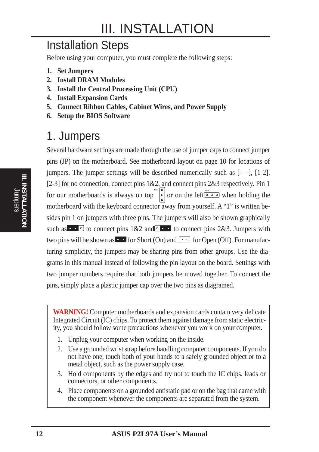## Installation Steps

Before using your computer, you must complete the following steps:

- **1. Set Jumpers**
- **2. Install DRAM Modules**
- **3. Install the Central Processing Unit (CPU)**
- **4. Install Expansion Cards**
- **5. Connect Ribbon Cables, Cabinet Wires, and Power Supply**
- **6. Setup the BIOS Software**

### 1. Jumpers

Several hardware settings are made through the use of jumper caps to connect jumper pins (JP) on the motherboard. See motherboard layout on page 10 for locations of jumpers. The jumper settings will be described numerically such as [----], [1-2], [2-3] for no connection, connect pins  $1&2$ , and connect pins  $2&3$  respectively. Pin 1 for our motherboards is always on top  $\int_{0}^{\pi}$  or on the left  $\int_{0}^{\pi}$  when holding the motherboard with the keyboard connector away from yourself. A "1" is written besides pin 1 on jumpers with three pins. The jumpers will also be shown graphically such as to connect pins  $1&2$  and to connect pins 2&3. Jumpers with two pins will be shown as **For** Short (On) and  $\boxed{p}$  or Open (Off). For manufacturing simplicity, the jumpers may be sharing pins from other groups. Use the diagrams in this manual instead of following the pin layout on the board. Settings with two jumper numbers require that both jumpers be moved together. To connect the pins, simply place a plastic jumper cap over the two pins as diagramed.

**WARNING!** Computer motherboards and expansion cards contain very delicate Integrated Circuit (IC) chips. To protect them against damage from static electricity, you should follow some precautions whenever you work on your computer.

- 1. Unplug your computer when working on the inside.
- 2. Use a grounded wrist strap before handling computer components. If you do not have one, touch both of your hands to a safely grounded object or to a metal object, such as the power supply case.
- 3. Hold components by the edges and try not to touch the IC chips, leads or connectors, or other components.
- 4. Place components on a grounded antistatic pad or on the bag that came with the component whenever the components are separated from the system.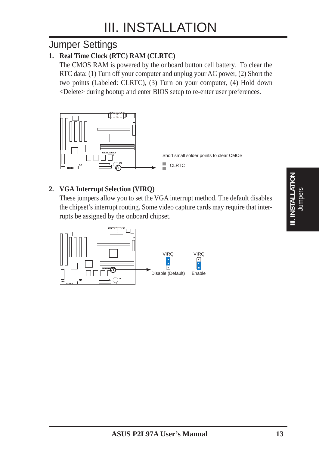### Jumper Settings

#### **1. Real Time Clock (RTC) RAM (CLRTC)**

The CMOS RAM is powered by the onboard button cell battery. To clear the RTC data: (1) Turn off your computer and unplug your AC power, (2) Short the two points (Labeled: CLRTC), (3) Turn on your computer, (4) Hold down <Delete> during bootup and enter BIOS setup to re-enter user preferences.



#### **2. VGA Interrupt Selection (VIRQ)**

These jumpers allow you to set the VGA interrupt method. The default disables the chipset's interrupt routing. Some video capture cards may require that interrupts be assigned by the onboard chipset.

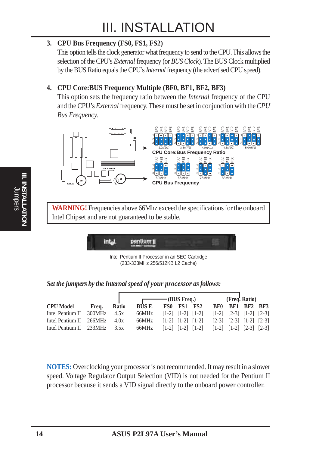#### **3. CPU Bus Frequency (FS0, FS1, FS2)**

This option tells the clock generator what frequency to send to the CPU. This allows the selection of the CPU's *External* frequency (or *BUS Clock*). The BUS Clock multiplied by the BUS Ratio equals the CPU's *Internal* frequency (the advertised CPU speed).

#### **4. CPU Core:BUS Frequency Multiple (BF0, BF1, BF2, BF3)**

This option sets the frequency ratio between the *Internal* frequency of the CPU and the CPU's *External* frequency. These must be set in conjunction with the *CPU Bus Frequency.*



**WARNING!** Frequencies above 66Mhz exceed the specifications for the onboard Intel Chipset and are not guaranteed to be stable.

| ٠ | <b><i>RAMILIANI</i></b> |  |
|---|-------------------------|--|
|   |                         |  |

Intel Pentium II Processor in an SEC Cartridge (233-333MHz 256/512KB L2 Cache)

*Set the jumpers by the Internal speed of your processor as follows:*

|                         |        |              |        | $\overline{\phantom{1}}$ (BUS Freq.)                                                                                                                                                            |     |            |     | (Freq. Ratio)                                                                                          |  |
|-------------------------|--------|--------------|--------|-------------------------------------------------------------------------------------------------------------------------------------------------------------------------------------------------|-----|------------|-----|--------------------------------------------------------------------------------------------------------|--|
| <b>CPU Model</b>        | Freq.  | <b>Ratio</b> | BUS F. | FS0<br><b>FS1</b>                                                                                                                                                                               | FS2 | <b>BF0</b> | BF1 | <b>BF2 BF3</b>                                                                                         |  |
| Intel Pentium II        | 300MHz | 4.5x         | 66MHz  | $\lceil 1-2 \rceil$ $\lceil 1-2 \rceil$ $\lceil 1-2 \rceil$                                                                                                                                     |     |            |     | $\begin{bmatrix} 1-2 \\ 2-3 \\ 1-2 \\ 2 \end{bmatrix}$ $\begin{bmatrix} 1-2 \\ 2-3 \\ 1 \end{bmatrix}$ |  |
| Intel Pentium II 266MHz |        | 4.0x         | 66MHz  | $\lceil 1-2 \rceil$ $\lceil 1-2 \rceil$ $\lceil 1-2 \rceil$                                                                                                                                     |     |            |     | $\begin{bmatrix} 2-3 \\ 1-2 \\ 1 \end{bmatrix}$ $\begin{bmatrix} 2-3 \\ 1-2 \\ 1 \end{bmatrix}$        |  |
| Intel Pentium II 233MHz |        | 3.5x         | 66MHz  | $\begin{bmatrix} 1-2 \\ 1-2 \\ 1 \end{bmatrix}$ $\begin{bmatrix} 1-2 \\ 1-2 \\ 1 \end{bmatrix}$ $\begin{bmatrix} 1-2 \\ 1-2 \\ 1 \end{bmatrix}$ $\begin{bmatrix} 2-3 \\ 2-3 \\ 1 \end{bmatrix}$ |     |            |     |                                                                                                        |  |

**NOTES:** Overclocking your processor is not recommended. It may result in a slower speed. Voltage Regulator Output Selection (VID) is not needed for the Pentium II processor because it sends a VID signal directly to the onboard power controller.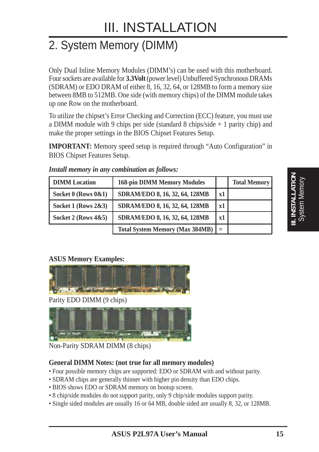## 2. System Memory (DIMM)

Only Dual Inline Memory Modules (DIMM's) can be used with this motherboard. Four sockets are available for **3.3Volt** (power level) Unbuffered Synchronous DRAMs (SDRAM) or EDO DRAM of either 8, 16, 32, 64, or 128MB to form a memory size between 8MB to 512MB. One side (with memory chips) of the DIMM module takes up one Row on the motherboard.

To utilize the chipset's Error Checking and Correction (ECC) feature, you must use a DIMM module with 9 chips per side (standard 8 chips/side + 1 parity chip) and make the proper settings in the BIOS Chipset Features Setup.

**IMPORTANT:** Memory speed setup is required through "Auto Configuration" in BIOS Chipset Features Setup.

| <b>DIMM</b> Location     | <b>168-pin DIMM Memory Modules</b>     |     | <b>Total Memory</b> |
|--------------------------|----------------------------------------|-----|---------------------|
| Socket $0$ (Rows $0&1$ ) | SDRAM/EDO 8, 16, 32, 64, 128MB         | x1  |                     |
| Socket 1 (Rows $2\&3$ )  | SDRAM/EDO 8, 16, 32, 64, 128MB         | x1  |                     |
| Socket 2 (Rows $4&5$ )   | SDRAM/EDO 8, 16, 32, 64, 128MB         | x1  |                     |
|                          | <b>Total System Memory (Max 384MB)</b> | $=$ |                     |

#### *Install memory in any combination as follows:*

#### **ASUS Memory Examples:**



Parity EDO DIMM (9 chips)



Non-Parity SDRAM DIMM (8 chips)

#### **General DIMM Notes: (not true for all memory modules)**

- Four possible memory chips are supported: EDO or SDRAM with and without parity.
- SDRAM chips are generally thinner with higher pin density than EDO chips.
- BIOS shows EDO or SDRAM memory on bootup screen.
- 8 chip/side modules do not support parity, only 9 chip/side modules support parity.
- Single sided modules are usually 16 or 64 MB, double sided are usually 8, 32, or 128MB.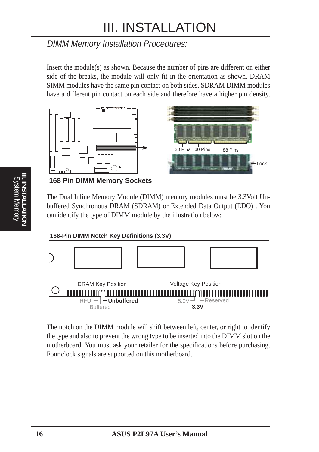### DIMM Memory Installation Procedures:

Insert the module(s) as shown. Because the number of pins are different on either side of the breaks, the module will only fit in the orientation as shown. DRAM SIMM modules have the same pin contact on both sides. SDRAM DIMM modules have a different pin contact on each side and therefore have a higher pin density.



#### **168 Pin DIMM Memory Sockets**

The Dual Inline Memory Module (DIMM) memory modules must be 3.3Volt Unbuffered Synchronous DRAM (SDRAM) or Extended Data Output (EDO) . You can identify the type of DIMM module by the illustration below:

#### **168-Pin DIMM Notch Key Definitions (3.3V)**



The notch on the DIMM module will shift between left, center, or right to identify the type and also to prevent the wrong type to be inserted into the DIMM slot on the motherboard. You must ask your retailer for the specifications before purchasing. Four clock signals are supported on this motherboard.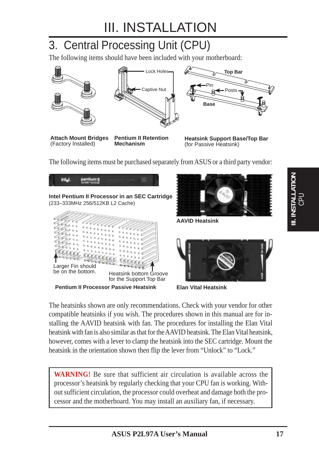## 3. Central Processing Unit (CPU)

The following items should have been included with your motherboard:



**Attach Mount Bridges**



**Heatsink Support Base/Top Bar** (for Passive Heatsink)

The following items must be purchased separately from ASUS or a third party vendor:



The heatsinks shown are only recommendations. Check with your vendor for other compatible heatsinks if you wish. The procedures shown in this manual are for installing the AAVID heatsink with fan. The procedures for installing the Elan Vital heatsink with fan is also similar as that for the AAVID heatsink. The Elan Vital heatsink, however, comes with a lever to clamp the heatsink into the SEC cartridge. Mount the heatsink in the orientation shown then flip the lever from "Unlock" to "Lock."

**WARNING!** Be sure that sufficient air circulation is available across the processor's heatsink by regularly checking that your CPU fan is working. Without sufficient circulation, the processor could overheat and damage both the processor and the motherboard. You may install an auxiliary fan, if necessary.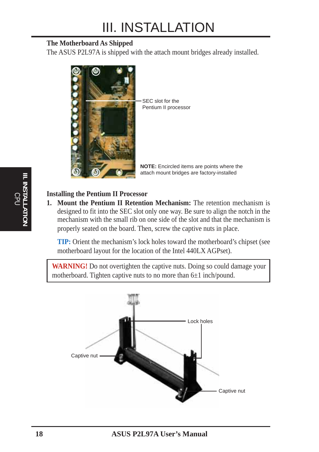#### **The Motherboard As Shipped**

The ASUS P2L97A is shipped with the attach mount bridges already installed.



SEC slot for the Pentium II processor

**NOTE:** Encircled items are points where the attach mount bridges are factory-installed

#### **Installing the Pentium II Processor**

**1. Mount the Pentium II Retention Mechanism:** The retention mechanism is designed to fit into the SEC slot only one way. Be sure to align the notch in the mechanism with the small rib on one side of the slot and that the mechanism is properly seated on the board. Then, screw the captive nuts in place.

**TIP:** Orient the mechanism's lock holes toward the motherboard's chipset (see motherboard layout for the location of the Intel 440LX AGPset).

WARNING! Do not overtighten the captive nuts. Doing so could damage your motherboard. Tighten captive nuts to no more than 6±1 inch/pound.

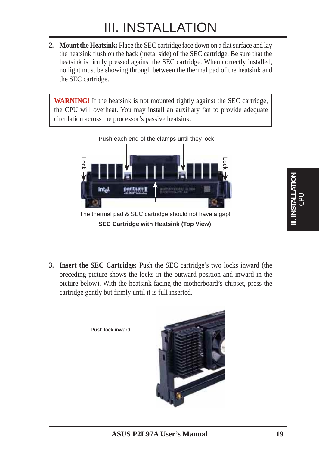**2. Mount the Heatsink:** Place the SEC cartridge face down on a flat surface and lay the heatsink flush on the back (metal side) of the SEC cartridge. Be sure that the heatsink is firmly pressed against the SEC cartridge. When correctly installed, no light must be showing through between the thermal pad of the heatsink and the SEC cartridge.

**WARNING!** If the heatsink is not mounted tightly against the SEC cartridge, the CPU will overheat. You may install an auxiliary fan to provide adequate circulation across the processor's passive heatsink.



**SEC Cartridge with Heatsink (Top View)**

**3. Insert the SEC Cartridge:** Push the SEC cartridge's two locks inward (the preceding picture shows the locks in the outward position and inward in the picture below). With the heatsink facing the motherboard's chipset, press the cartridge gently but firmly until it is full inserted.

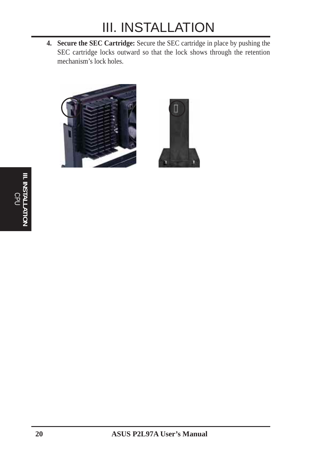**4. Secure the SEC Cartridge:** Secure the SEC cartridge in place by pushing the SEC cartridge locks outward so that the lock shows through the retention mechanism's lock holes.



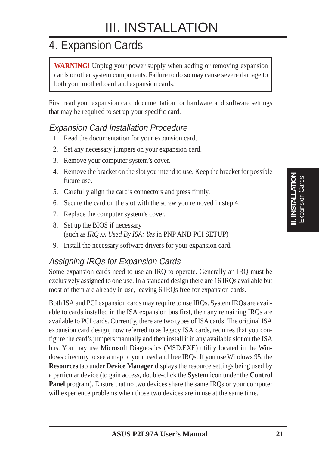## 4. Expansion Cards

**WARNING!** Unplug your power supply when adding or removing expansion cards or other system components. Failure to do so may cause severe damage to both your motherboard and expansion cards.

First read your expansion card documentation for hardware and software settings that may be required to set up your specific card.

#### Expansion Card Installation Procedure

- 1. Read the documentation for your expansion card.
- 2. Set any necessary jumpers on your expansion card.
- 3. Remove your computer system's cover.
- 4. Remove the bracket on the slot you intend to use. Keep the bracket for possible future use.
- 5. Carefully align the card's connectors and press firmly.
- 6. Secure the card on the slot with the screw you removed in step 4.
- 7. Replace the computer system's cover.
- 8. Set up the BIOS if necessary (such as *IRQ xx Used By ISA: Yes* in PNP AND PCI SETUP)
- 9. Install the necessary software drivers for your expansion card.

### Assigning IRQs for Expansion Cards

Some expansion cards need to use an IRQ to operate. Generally an IRQ must be exclusively assigned to one use. In a standard design there are 16 IRQs available but most of them are already in use, leaving 6 IRQs free for expansion cards.

Both ISA and PCI expansion cards may require to use IRQs. System IRQs are available to cards installed in the ISA expansion bus first, then any remaining IRQs are available to PCI cards. Currently, there are two types of ISA cards. The original ISA expansion card design, now referred to as legacy ISA cards, requires that you configure the card's jumpers manually and then install it in any available slot on the ISA bus. You may use Microsoft Diagnostics (MSD.EXE) utility located in the Windows directory to see a map of your used and free IRQs. If you use Windows 95, the **Resources** tab under **Device Manager** displays the resource settings being used by a particular device (to gain access, double-click the **System** icon under the **Control Panel** program). Ensure that no two devices share the same IRQs or your computer will experience problems when those two devices are in use at the same time.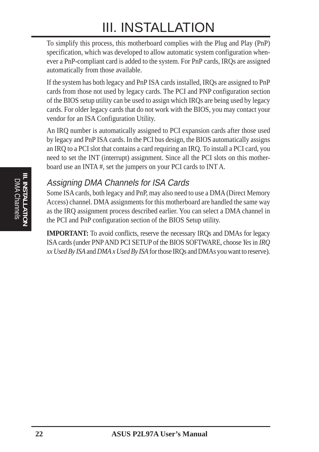To simplify this process, this motherboard complies with the Plug and Play (PnP) specification, which was developed to allow automatic system configuration whenever a PnP-compliant card is added to the system. For PnP cards, IRQs are assigned automatically from those available.

If the system has both legacy and PnP ISA cards installed, IRQs are assigned to PnP cards from those not used by legacy cards. The PCI and PNP configuration section of the BIOS setup utility can be used to assign which IRQs are being used by legacy cards. For older legacy cards that do not work with the BIOS, you may contact your vendor for an ISA Configuration Utility.

An IRQ number is automatically assigned to PCI expansion cards after those used by legacy and PnP ISA cards. In the PCI bus design, the BIOS automatically assigns an IRQ to a PCI slot that contains a card requiring an IRQ. To install a PCI card, you need to set the INT (interrupt) assignment. Since all the PCI slots on this motherboard use an INTA #, set the jumpers on your PCI cards to INT A.

### Assigning DMA Channels for ISA Cards

Some ISA cards, both legacy and PnP, may also need to use a DMA (Direct Memory Access) channel. DMA assignments for this motherboard are handled the same way as the IRQ assignment process described earlier. You can select a DMA channel in the PCI and PnP configuration section of the BIOS Setup utility.

**IMPORTANT:** To avoid conflicts, reserve the necessary IRQs and DMAs for legacy ISA cards (under PNP AND PCI SETUP of the BIOS SOFTWARE, choose *Yes* in *IRQ xx Used By ISA* and *DMA x Used By ISA* for those IRQs and DMAs you want to reserve).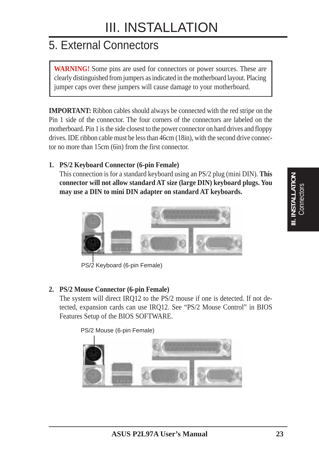## 5. External Connectors

**WARNING!** Some pins are used for connectors or power sources. These are clearly distinguished from jumpers as indicated in the motherboard layout. Placing jumper caps over these jumpers will cause damage to your motherboard.

**IMPORTANT:** Ribbon cables should always be connected with the red stripe on the Pin 1 side of the connector. The four corners of the connectors are labeled on the motherboard. Pin 1 is the side closest to the power connector on hard drives and floppy drives. IDE ribbon cable must be less than 46cm (18in), with the second drive connector no more than 15cm (6in) from the first connector.

#### **1. PS/2 Keyboard Connector (6-pin Female)**

This connection is for a standard keyboard using an PS/2 plug (mini DIN). **This connector will not allow standard AT size (large DIN) keyboard plugs. You may use a DIN to mini DIN adapter on standard AT keyboards.**



PS/2 Keyboard (6-pin Female)

#### **2. PS/2 Mouse Connector (6-pin Female)**

The system will direct IRQ12 to the PS/2 mouse if one is detected. If not detected, expansion cards can use IRQ12. See "PS/2 Mouse Control" in BIOS Features Setup of the BIOS SOFTWARE.

PS/2 Mouse (6-pin Female)

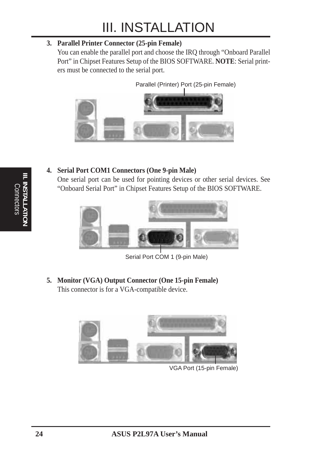#### **3. Parallel Printer Connector (25-pin Female)**

You can enable the parallel port and choose the IRQ through "Onboard Parallel Port" in Chipset Features Setup of the BIOS SOFTWARE. **NOTE**: Serial printers must be connected to the serial port.

Parallel (Printer) Port (25-pin Female)



#### **4. Serial Port COM1 Connectors (One 9-pin Male)**

One serial port can be used for pointing devices or other serial devices. See "Onboard Serial Port" in Chipset Features Setup of the BIOS SOFTWARE.



Serial Port COM 1 (9-pin Male)

**5. Monitor (VGA) Output Connector (One 15-pin Female)** This connector is for a VGA-compatible device.



VGA Port (15-pin Female)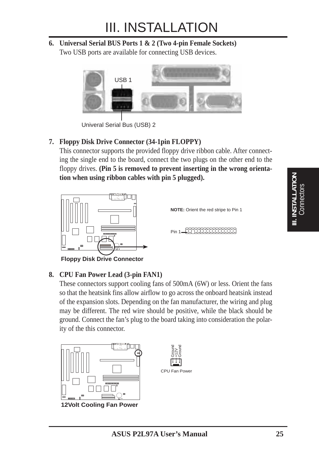**6. Universal Serial BUS Ports 1 & 2 (Two 4-pin Female Sockets)** Two USB ports are available for connecting USB devices.



Univeral Serial Bus (USB) 2

#### **7. Floppy Disk Drive Connector (34-1pin FLOPPY)**

This connector supports the provided floppy drive ribbon cable. After connecting the single end to the board, connect the two plugs on the other end to the floppy drives. **(Pin 5 is removed to prevent inserting in the wrong orientation when using ribbon cables with pin 5 plugged).**



**Floppy Disk Drive Connector**

#### **8. CPU Fan Power Lead (3-pin FAN1)**

These connectors support cooling fans of 500mA (6W) or less. Orient the fans so that the heatsink fins allow airflow to go across the onboard heatsink instead of the expansion slots. Depending on the fan manufacturer, the wiring and plug may be different. The red wire should be positive, while the black should be ground. Connect the fan's plug to the board taking into consideration the polarity of the this connector.



**12Volt Cooling Fan Power**

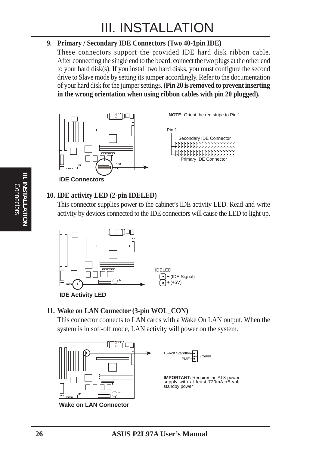#### **9. Primary / Secondary IDE Connectors (Two 40-1pin IDE)**

These connectors support the provided IDE hard disk ribbon cable. After connecting the single end to the board, connect the two plugs at the other end to your hard disk(s). If you install two hard disks, you must configure the second drive to Slave mode by setting its jumper accordingly. Refer to the documentation of your hard disk for the jumper settings. **(Pin 20 is removed to prevent inserting in the wrong orientation when using ribbon cables with pin 20 plugged).**



#### **10. IDE activity LED (2-pin IDELED)**

This connector supplies power to the cabinet's IDE activity LED. Read-and-write activity by devices connected to the IDE connectors will cause the LED to light up.



#### **11. Wake on LAN Connector (3-pin WOL\_CON)**

This connector coonects to LAN cards with a Wake On LAN output. When the system is in soft-off mode, LAN activity will power on the system.

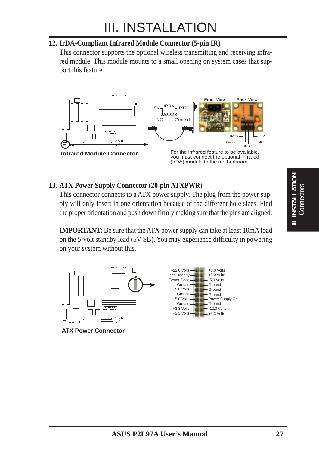#### **12. IrDA-Compliant Infrared Module Connector (5-pin IR)**

This connector supports the optional wireless transmitting and receiving infrared module. This module mounts to a small opening on system cases that support this feature.



#### **13. ATX Power Supply Connector (20-pin ATXPWR)**

This connector connects to a ATX power supply. The plug from the power supply will only insert in one orientation because of the different hole sizes. Find the proper orientation and push down firmly making sure that the pins are aligned.

**IMPORTANT:** Be sure that the ATX power supply can take at least 10mA load on the 5-volt standby lead (5V SB). You may experience difficulty in powering on your system without this.



**ATX Power Connector**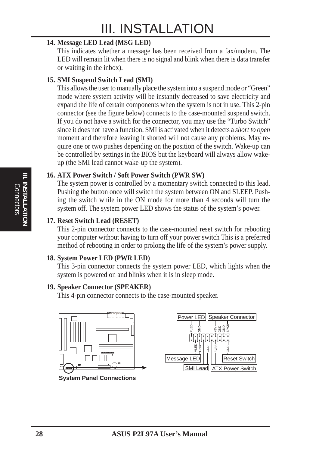#### **14. Message LED Lead (MSG LED)**

This indicates whether a message has been received from a fax/modem. The LED will remain lit when there is no signal and blink when there is data transfer or waiting in the inbox).

#### **15. SMI Suspend Switch Lead (SMI)**

This allows the user to manually place the system into a suspend mode or "Green" mode where system activity will be instantly decreased to save electricity and expand the life of certain components when the system is not in use. This 2-pin connector (see the figure below) connects to the case-mounted suspend switch. If you do not have a switch for the connector, you may use the "Turbo Switch" since it does not have a function. SMI is activated when it detects a *short to open* moment and therefore leaving it shorted will not cause any problems. May require one or two pushes depending on the position of the switch. Wake-up can be controlled by settings in the BIOS but the keyboard will always allow wakeup (the SMI lead cannot wake-up the system).

#### **16. ATX Power Switch / Soft Power Switch (PWR SW)**

The system power is controlled by a momentary switch connected to this lead. Pushing the button once will switch the system between ON and SLEEP. Pushing the switch while in the ON mode for more than 4 seconds will turn the system off. The system power LED shows the status of the system's power.

#### **17. Reset Switch Lead (RESET)**

This 2-pin connector connects to the case-mounted reset switch for rebooting your computer without having to turn off your power switch This is a preferred method of rebooting in order to prolong the life of the system's power supply.

#### **18. System Power LED (PWR LED)**

This 3-pin connector connects the system power LED, which lights when the system is powered on and blinks when it is in sleep mode.

#### **19. Speaker Connector (SPEAKER)**

This 4-pin connector connects to the case-mounted speaker.

![](_page_27_Picture_13.jpeg)

**System Panel Connections**

![](_page_27_Figure_15.jpeg)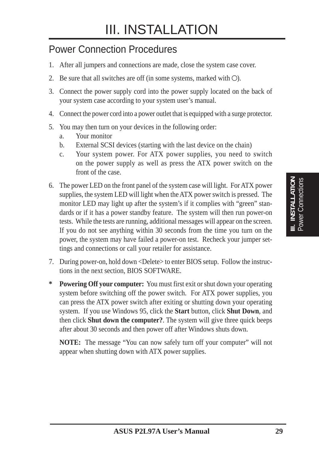### Power Connection Procedures

- 1. After all jumpers and connections are made, close the system case cover.
- 2. Be sure that all switches are off (in some systems, marked with  $\bigcirc$ ).
- 3. Connect the power supply cord into the power supply located on the back of your system case according to your system user's manual.
- 4. Connect the power cord into a power outlet that is equipped with a surge protector.
- 5. You may then turn on your devices in the following order:
	- a. Your monitor
	- b. External SCSI devices (starting with the last device on the chain)
	- c. Your system power. For ATX power supplies, you need to switch on the power supply as well as press the ATX power switch on the front of the case.
- 6. The power LED on the front panel of the system case will light. For ATX power supplies, the system LED will light when the ATX power switch is pressed. The monitor LED may light up after the system's if it complies with "green" standards or if it has a power standby feature. The system will then run power-on tests. While the tests are running, additional messages will appear on the screen. If you do not see anything within 30 seconds from the time you turn on the power, the system may have failed a power-on test. Recheck your jumper settings and connections or call your retailer for assistance.
- 7. During power-on, hold down <Delete> to enter BIOS setup. Follow the instructions in the next section, BIOS SOFTWARE.
- **\* Powering Off your computer:** You must first exit or shut down your operating system before switching off the power switch. For ATX power supplies, you can press the ATX power switch after exiting or shutting down your operating system. If you use Windows 95, click the **Start** button, click **Shut Down**, and then click **Shut down the computer?**. The system will give three quick beeps after about 30 seconds and then power off after Windows shuts down.

**NOTE:** The message "You can now safely turn off your computer" will not appear when shutting down with ATX power supplies.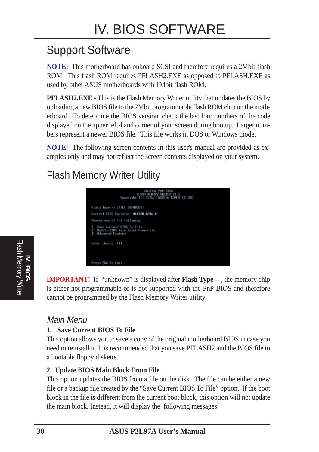## Support Software

**NOTE:** This motherboard has onboard SCSI and therefore requires a 2Mbit flash ROM. This flash ROM requires PFLASH2.EXE as opposed to PFLASH.EXE as used by other ASUS motherboards with 1Mbit flash ROM.

**PFLASH2.EXE -** This is the Flash Memory Writer utility that updates the BIOS by uploading a new BIOS file to the 2Mbit programmable flash ROM chip on the motherboard. To determine the BIOS version, check the last four numbers of the code displayed on the upper left-hand corner of your screen during bootup. Larger numbers represent a newer BIOS file. This file works in DOS or Windows mode.

**NOTE:** The following screen contents in this user's manual are provided as examples only and may not reflect the screen contents displayed on your system.

### Flash Memory Writer Utility

![](_page_29_Figure_6.jpeg)

**IMPORTANT!** If "unknown" is displayed after **Flash Type --**, the memory chip is either not programmable or is not supported with the PnP BIOS and therefore cannot be programmed by the Flash Memory Writer utility.

#### Main Menu

#### **1. Save Current BIOS To File**

This option allows you to save a copy of the original motherboard BIOS in case you need to reinstall it. It is recommended that you save PFLASH2 and the BIOS file to a bootable floppy diskette.

#### **2. Update BIOS Main Block From File**

This option updates the BIOS from a file on the disk. The file can be either a new file or a backup file created by the "Save Current BIOS To File" option. If the boot block in the file is different from the current boot block, this option will not update the main block. Instead, it will display the following messages.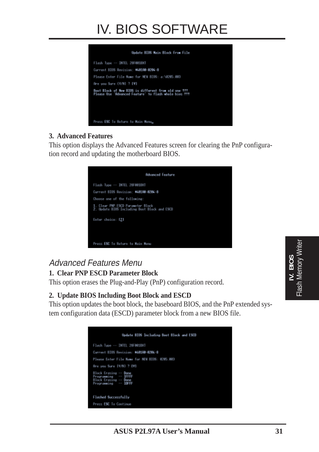## IV. BIOS SOFTWARE

![](_page_30_Picture_1.jpeg)

#### **3. Advanced Features**

This option displays the Advanced Features screen for clearing the PnP configuration record and updating the motherboard BIOS.

![](_page_30_Picture_4.jpeg)

### Advanced Features Menu

#### **1. Clear PNP ESCD Parameter Block**

This option erases the Plug-and-Play (PnP) configuration record.

#### **2. Update BIOS Including Boot Block and ESCD**

This option updates the boot block, the baseboard BIOS, and the PnP extended system configuration data (ESCD) parameter block from a new BIOS file.

| Update BIDS Including Boot Block and ESCD                                                      |
|------------------------------------------------------------------------------------------------|
| Flash Type -- INTEL 20F001BXT                                                                  |
| Current BIOS Revision: M&B1AD-020&-8                                                           |
| Please Enter File Name for NEW BIDS: 0205.003                                                  |
| fire you Sure [Y/N] 7 [Y]                                                                      |
| Block Erasing -- Done<br>Programming -- IFFFF<br>Block Erasing -- Done<br>Programming -- IDFFF |
| Flashed Successfully                                                                           |
| Press ESC To Continue                                                                          |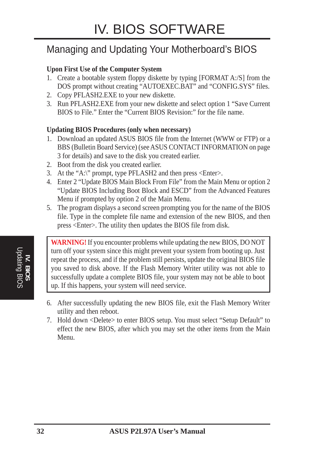### Managing and Updating Your Motherboard's BIOS

#### **Upon First Use of the Computer System**

- 1. Create a bootable system floppy diskette by typing [FORMAT A:/S] from the DOS prompt without creating "AUTOEXEC.BAT" and "CONFIG.SYS" files.
- 2. Copy PFLASH2.EXE to your new diskette.
- 3. Run PFLASH2.EXE from your new diskette and select option 1 "Save Current BIOS to File." Enter the "Current BIOS Revision:" for the file name.

#### **Updating BIOS Procedures (only when necessary)**

- 1. Download an updated ASUS BIOS file from the Internet (WWW or FTP) or a BBS (Bulletin Board Service) (see ASUS CONTACT INFORMATION on page 3 for details) and save to the disk you created earlier.
- 2. Boot from the disk you created earlier.
- 3. At the "A:\" prompt, type PFLASH2 and then press <Enter>.
- 4. Enter 2 "Update BIOS Main Block From File" from the Main Menu or option 2 "Update BIOS Including Boot Block and ESCD" from the Advanced Features Menu if prompted by option 2 of the Main Menu.
- 5. The program displays a second screen prompting you for the name of the BIOS file. Type in the complete file name and extension of the new BIOS, and then press <Enter>. The utility then updates the BIOS file from disk.

**WARNING!** If you encounter problems while updating the new BIOS, DO NOT turn off your system since this might prevent your system from booting up. Just repeat the process, and if the problem still persists, update the original BIOS file you saved to disk above. If the Flash Memory Writer utility was not able to successfully update a complete BIOS file, your system may not be able to boot up. If this happens, your system will need service.

- 6. After successfully updating the new BIOS file, exit the Flash Memory Writer utility and then reboot.
- 7. Hold down <Delete> to enter BIOS setup. You must select "Setup Default" to effect the new BIOS, after which you may set the other items from the Main Menu.

**IV. BIOS** Updating BIOS

Updating BIOS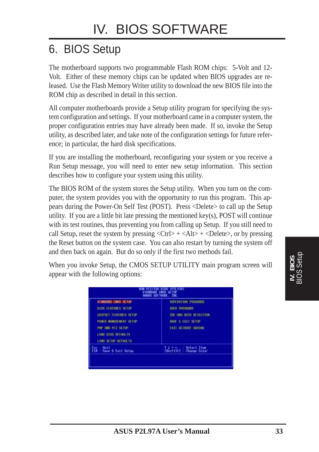## 6. BIOS Setup

The motherboard supports two programmable Flash ROM chips: 5-Volt and 12- Volt. Either of these memory chips can be updated when BIOS upgrades are released. Use the Flash Memory Writer utility to download the new BIOS file into the ROM chip as described in detail in this section.

All computer motherboards provide a Setup utility program for specifying the system configuration and settings. If your motherboard came in a computer system, the proper configuration entries may have already been made. If so, invoke the Setup utility, as described later, and take note of the configuration settings for future reference; in particular, the hard disk specifications.

If you are installing the motherboard, reconfiguring your system or you receive a Run Setup message, you will need to enter new setup information. This section describes how to configure your system using this utility.

The BIOS ROM of the system stores the Setup utility. When you turn on the computer, the system provides you with the opportunity to run this program. This appears during the Power-On Self Test (POST). Press <Delete> to call up the Setup utility. If you are a little bit late pressing the mentioned key(s), POST will continue with its test routines, thus preventing you from calling up Setup. If you still need to call Setup, reset the system by pressing  $\langle \text{Ctrl} \rangle + \langle \text{Alt} \rangle + \langle \text{Delete} \rangle$ , or by pressing the Reset button on the system case. You can also restart by turning the system off and then back on again. But do so only if the first two methods fail.

When you invoke Setup, the CMOS SETUP UTILITY main program screen will appear with the following options:

| <b>HITS FERRIBES SETUP</b><br><b>CHIPSET FERTURES SETUP</b><br>PORT MONOCHOL SETTE<br><b>INP AID IST SETUP</b> | USER PRESSURID<br>THE HOU NOTE DETECTION<br>SAVE & EXT1 SETUP<br><b>EXIT HEINGHT SIMING</b> |
|----------------------------------------------------------------------------------------------------------------|---------------------------------------------------------------------------------------------|
| <b>LOOD BISS DEFRILLS</b><br>LOOD SETUP DEFINIETS                                                              |                                                                                             |
| <b>Quit</b><br>鬋<br>Save & East Setup                                                                          | shift) Palect Item                                                                          |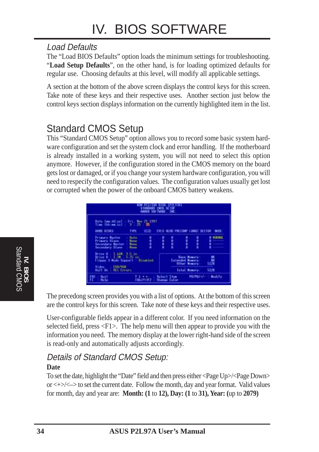#### Load Defaults

The "Load BIOS Defaults" option loads the minimum settings for troubleshooting. "**Load Setup Defaults**", on the other hand, is for loading optimized defaults for regular use. Choosing defaults at this level, will modify all applicable settings.

A section at the bottom of the above screen displays the control keys for this screen. Take note of these keys and their respective uses. Another section just below the control keys section displays information on the currently highlighted item in the list.

### Standard CMOS Setup

This "Standard CMOS Setup" option allows you to record some basic system hardware configuration and set the system clock and error handling. If the motherboard is already installed in a working system, you will not need to select this option anymore. However, if the configuration stored in the CMOS memory on the board gets lost or damaged, or if you change your system hardware configuration, you will need to respecify the configuration values. The configuration values usually get lost or corrupted when the power of the onboard CMOS battery weakens.

![](_page_33_Figure_6.jpeg)

The precedong screen provides you with a list of options. At the bottom of this screen are the control keys for this screen. Take note of these keys and their respective uses.

User-configurable fields appear in a different color. If you need information on the selected field, press <F1>. The help menu will then appear to provide you with the information you need. The memory display at the lower right-hand side of the screen is read-only and automatically adjusts accordingly.

#### Details of Standard CMOS Setup:

#### **Date**

To set the date, highlight the "Date" field and then press either <Page Up>/<Page Down> or  $\langle + \rangle$   $\langle - \rangle$  to set the current date. Follow the month, day and year format. Valid values for month, day and year are: **Month: (1** to **12), Day: (1** to **31), Year: (**up to **2079)**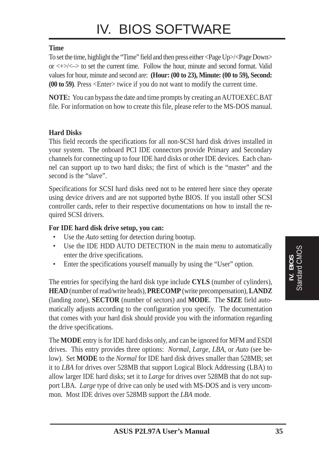#### **Time**

To set the time, highlight the "Time" field and then press either <Page Up>/<Page Down> or  $\langle + \rangle$  to set the current time. Follow the hour, minute and second format. Valid values for hour, minute and second are: **(Hour: (00 to 23), Minute: (00 to 59), Second: (00 to 59)**. Press <Enter> twice if you do not want to modify the current time.

**NOTE:** You can bypass the date and time prompts by creating an AUTOEXEC.BAT file. For information on how to create this file, please refer to the MS-DOS manual.

#### **Hard Disks**

This field records the specifications for all non-SCSI hard disk drives installed in your system. The onboard PCI IDE connectors provide Primary and Secondary channels for connecting up to four IDE hard disks or other IDE devices. Each channel can support up to two hard disks; the first of which is the "master" and the second is the "slave".

Specifications for SCSI hard disks need not to be entered here since they operate using device drivers and are not supported bythe BIOS. If you install other SCSI controller cards, refer to their respective documentations on how to install the required SCSI drivers.

#### **For IDE hard disk drive setup, you can:**

- Use the *Auto* setting for detection during bootup.
- Use the IDE HDD AUTO DETECTION in the main menu to automatically enter the drive specifications.
- Enter the specifications yourself manually by using the "User" option.

The entries for specifying the hard disk type include **CYLS** (number of cylinders), **HEAD** (number of read/write heads), **PRECOMP** (write precompensation), **LANDZ** (landing zone), **SECTOR** (number of sectors) and **MODE**. The **SIZE** field automatically adjusts according to the configuration you specify. The documentation that comes with your hard disk should provide you with the information regarding the drive specifications.

The **MODE** entry is for IDE hard disks only, and can be ignored for MFM and ESDI drives. This entry provides three options: *Normal, Large, LBA*, or *Auto* (see below). Set **MODE** to the *Normal* for IDE hard disk drives smaller than 528MB; set it to *LBA* for drives over 528MB that support Logical Block Addressing (LBA) to allow larger IDE hard disks; set it to *Large* for drives over 528MB that do not support LBA. *Large* type of drive can only be used with MS-DOS and is very uncommon. Most IDE drives over 528MB support the *LBA* mode.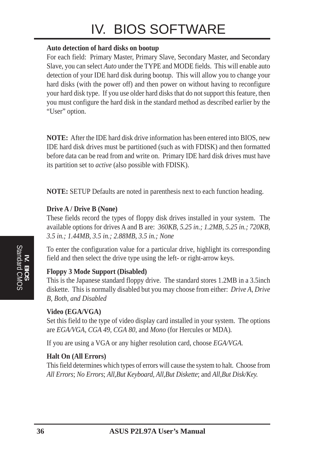## IV. BIOS SOFTWARE

#### **Auto detection of hard disks on bootup**

For each field: Primary Master, Primary Slave, Secondary Master, and Secondary Slave, you can select *Auto* under the TYPE and MODE fields. This will enable auto detection of your IDE hard disk during bootup. This will allow you to change your hard disks (with the power off) and then power on without having to reconfigure your hard disk type. If you use older hard disks that do not support this feature, then you must configure the hard disk in the standard method as described earlier by the "User" option.

**NOTE:** After the IDE hard disk drive information has been entered into BIOS, new IDE hard disk drives must be partitioned (such as with FDISK) and then formatted before data can be read from and write on. Primary IDE hard disk drives must have its partition set to *active* (also possible with FDISK).

**NOTE:** SETUP Defaults are noted in parenthesis next to each function heading.

#### **Drive A / Drive B (None)**

These fields record the types of floppy disk drives installed in your system. The available options for drives A and B are: *360KB, 5.25 in.; 1.2MB, 5.25 in.; 720KB, 3.5 in.; 1.44MB, 3.5 in.; 2.88MB, 3.5 in.; None*

To enter the configuration value for a particular drive, highlight its corresponding field and then select the drive type using the left- or right-arrow keys.

#### **Floppy 3 Mode Support (Disabled)**

This is the Japanese standard floppy drive. The standard stores 1.2MB in a 3.5inch diskette. This is normally disabled but you may choose from either: *Drive A, Drive B, Both, and Disabled*

#### **Video (EGA/VGA)**

Set this field to the type of video display card installed in your system. The options are *EGA/VGA*, *CGA 49*, *CGA 80*, and *Mono* (for Hercules or MDA)*.*

If you are using a VGA or any higher resolution card, choose *EGA/VGA*.

#### **Halt On (All Errors)**

This field determines which types of errors will cause the system to halt. Choose from *All Errors*; *No Errors*; *All*,*But Keyboard, All*,*But Diskette*; and *All,But Disk/Key.*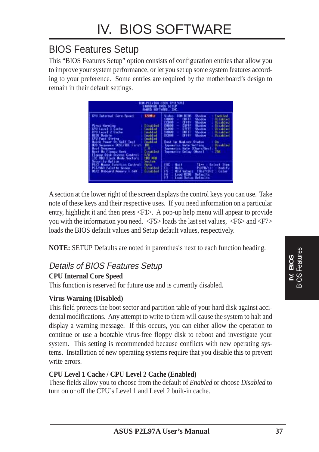### BIOS Features Setup

This "BIOS Features Setup" option consists of configuration entries that allow you to improve your system performance, or let you set up some system features according to your preference. Some entries are required by the motherboard's design to remain in their default settings.

| CPU Internal Core Speed                                                                                                                                                                                                                                                                                                                                                                                     | 120Mar                                                                                                                                                                                 | <b>ROM HTTPS</b><br>Video<br>Shadow<br>Enabled<br>Shadow<br><b>Bischlod</b><br>同期降<br><b>CUFFF</b><br>12800<br><b>CEEFF</b><br>Shadow<br><b>Wisabled</b><br>٠                                                                                                                                                                                                                             |
|-------------------------------------------------------------------------------------------------------------------------------------------------------------------------------------------------------------------------------------------------------------------------------------------------------------------------------------------------------------------------------------------------------------|----------------------------------------------------------------------------------------------------------------------------------------------------------------------------------------|-------------------------------------------------------------------------------------------------------------------------------------------------------------------------------------------------------------------------------------------------------------------------------------------------------------------------------------------------------------------------------------------|
| Virut Narnine<br>CPU Lovel 1 Cache<br>CPU Lovel 2 Cache<br><b>BIDS Update</b><br>CPU Fast String<br><b>Duick Power On Self Test</b><br>HBD Suparoon SCSL/IIII First<br><b>Hoot Sequence</b><br><b>Boot the Elegant Seek</b><br>trey Disk Rocess Control<br><b>OE HOU filock Mode Sectors</b><br>Security Option<br>PS/2 Nouse Function Control<br><b>PCL/THR Palette-Snoop</b><br>05/2 Daboard Nanoru & 64N | Disubled<br><b>Engineer</b><br>Enablad<br>Enabled<br>Enabled<br><b>Enablair</b><br>ШE<br><b>Disabiled</b><br>raw<br>Hodi Miri<br>Suctom<br><b>Bitte</b><br>Disoble#<br><b>Disabled</b> | DIFFE<br>10808<br>Shadow<br><b>Bissblad</b><br>$\sim$<br><b>D4803</b><br>DIFFE<br><b>Tischled</b><br>Shadow<br>$\sim$<br>58880<br>DEFF<br><b>Biashled</b><br>Shadow<br><b>Tel:</b><br>DC2002<br>DEEFF<br>Shadow<br><b>Winghind</b><br><b>Band the Hand ock Status</b><br>ūп.<br>Tupemarkso Satu Setting<br><b>BioattEnt</b><br>upematic Wate (Chart/Sec)<br>258<br>Spowerter Delay (Masc) |
|                                                                                                                                                                                                                                                                                                                                                                                                             |                                                                                                                                                                                        | ISC.<br><b>Guit</b><br>Select Item<br>1146<br>FU/F07+7 - -<br>lielo.<br><b>Hodify</b><br>ن<br>ويدي<br>و<br><b>SMITTIFZ</b><br><b>Hid Values</b><br>Calor<br>EtH bot<br>Defaul ts<br>Lood Setup Defaults                                                                                                                                                                                   |

A section at the lower right of the screen displays the control keys you can use. Take note of these keys and their respective uses. If you need information on a particular entry, highlight it and then press <F1>. A pop-up help menu will appear to provide you with the information you need. <F5> loads the last set values, <F6> and <F7> loads the BIOS default values and Setup default values, respectively.

**NOTE:** SETUP Defaults are noted in parenthesis next to each function heading.

#### Details of BIOS Features Setup

#### **CPU Internal Core Speed**

This function is reserved for future use and is currently disabled.

#### **Virus Warning (Disabled)**

This field protects the boot sector and partition table of your hard disk against accidental modifications. Any attempt to write to them will cause the system to halt and display a warning message. If this occurs, you can either allow the operation to continue or use a bootable virus-free floppy disk to reboot and investigate your system. This setting is recommended because conflicts with new operating systems. Installation of new operating systems require that you disable this to prevent write errors.

#### **CPU Level 1 Cache / CPU Level 2 Cache (Enabled)**

These fields allow you to choose from the default of *Enabled* or choose *Disabled* to turn on or off the CPU's Level 1 and Level 2 built-in cache.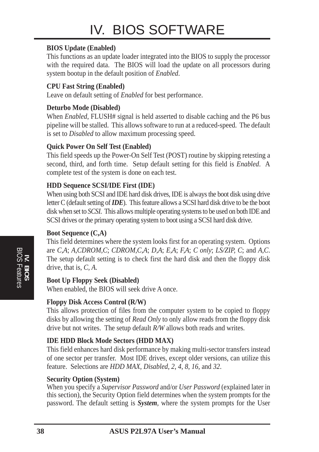#### **BIOS Update (Enabled)**

This functions as an update loader integrated into the BIOS to supply the processor with the required data. The BIOS will load the update on all processors during system bootup in the default position of *Enabled*.

#### **CPU Fast String (Enabled)**

Leave on default setting of *Enabled* for best performance.

#### **Deturbo Mode (Disabled)**

When *Enabled*, FLUSH# signal is held asserted to disable caching and the P6 bus pipeline will be stalled. This allows software to run at a reduced-speed. The default is set to *Disabled* to allow maximum processing speed.

#### **Quick Power On Self Test (Enabled)**

This field speeds up the Power-On Self Test (POST) routine by skipping retesting a second, third, and forth time. Setup default setting for this field is *Enabled*. A complete test of the system is done on each test.

#### **HDD Sequence SCSI/IDE First (IDE)**

When using both SCSI and IDE hard disk drives, IDE is always the boot disk using drive letter C (default setting of *IDE*). This feature allows a SCSI hard disk drive to be the boot disk when set to *SCSI*. This allows multiple operating systems to be used on both IDE and SCSI drives or the primary operating system to boot using a SCSI hard disk drive.

#### **Boot Sequence (C,A)**

This field determines where the system looks first for an operating system. Options are *C,A*; *A,CDROM,C*; *CDROM,C,A*; *D,A*; *E,A*; *F,A*; *C only*; *LS/ZIP, C*; and *A,C*. The setup default setting is to check first the hard disk and then the floppy disk drive, that is, *C, A*.

#### **Boot Up Floppy Seek (Disabled)**

When enabled, the BIOS will seek drive A once.

#### **Floppy Disk Access Control (R/W)**

This allows protection of files from the computer system to be copied to floppy disks by allowing the setting of *Read Only* to only allow reads from the floppy disk drive but not writes. The setup default *R/W* allows both reads and writes.

#### **IDE HDD Block Mode Sectors (HDD MAX)**

This field enhances hard disk performance by making multi-sector transfers instead of one sector per transfer. Most IDE drives, except older versions, can utilize this feature. Selections are *HDD MAX*, *Disabled*, *2*, *4*, *8*, *16*, and *32*.

#### **Security Option (System)**

When you specify a *Supervisor Password* and/or *User Password* (explained later in this section), the Security Option field determines when the system prompts for the password. The default setting is *System*, where the system prompts for the User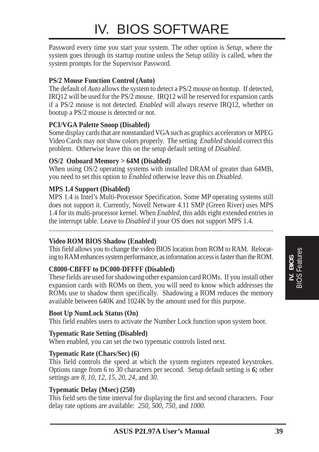## IV. BIOS SOFTWARE

Password every time you start your system. The other option is *Setup*, where the system goes through its startup routine unless the Setup utility is called, when the system prompts for the Supervisor Password.

#### **PS/2 Mouse Function Control (Auto)**

The default of *Auto* allows the system to detect a PS/2 mouse on bootup. If detected, IRQ12 will be used for the PS/2 mouse. IRQ12 will be reserved for expansion cards if a PS/2 mouse is not detected. *Enabled* will always reserve IRQ12, whether on bootup a PS/2 mouse is detected or not.

#### **PCI/VGA Palette Snoop (Disabled)**

Some display cards that are nonstandard VGA such as graphics accelerators or MPEG Video Cards may not show colors properly. The setting *Enabled* should correct this problem. Otherwise leave this on the setup default setting of *Disabled*.

#### **OS/2 Onboard Memory > 64M (Disabled)**

When using  $OS/2$  operating systems with installed DRAM of greater than 64MB, you need to set this option to *Enabled* otherwise leave this on *Disabled*.

#### **MPS 1.4 Support (Disabled)**

MPS 1.4 is Intel's Multi-Processor Specification. Some MP operating systems still does not support it. Currently, Novell Netware 4.11 SMP (Green River) uses MPS 1.4 for its multi-processor kernel. When *Enabled*, this adds eight extended entries in the interrupt table. Leave to *Disabled* if your OS does not support MPS 1.4.

......................................................................................................................................

#### **Video ROM BIOS Shadow (Enabled)**

This field allows you to change the video BIOS location from ROM to RAM. Relocating to RAM enhances system performance, as information access is faster than the ROM.

#### **C8000-CBFFF to DC000-DFFFF (Disabled)**

These fields are used for shadowing other expansion card ROMs. If you install other expansion cards with ROMs on them, you will need to know which addresses the ROMs use to shadow them specifically. Shadowing a ROM reduces the memory available between 640K and 1024K by the amount used for this purpose.

#### **Boot Up NumLock Status (On)**

This field enables users to activate the Number Lock function upon system boot.

#### **Typematic Rate Setting (Disabled)**

When enabled, you can set the two typematic controls listed next.

#### **Typematic Rate (Chars/Sec) (6)**

This field controls the speed at which the system registers repeated keystrokes. Options range from 6 to 30 characters per second. Setup default setting is *6;* other settings are *8*, *10*, *12*, *15*, *20*, *24*, and *30*.

#### **Typematic Delay (Msec) (250)**

This field sets the time interval for displaying the first and second characters. Four delay rate options are available: *250*, *500*, *750*, and *1000*.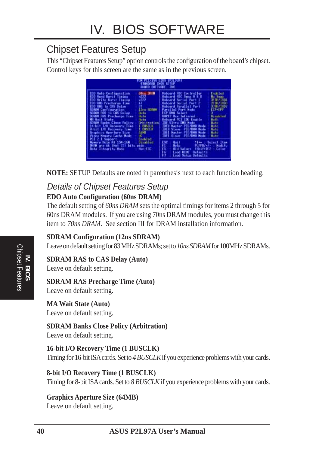### Chipset Features Setup

This "Chipset Features Setup" option controls the configuration of the board's chipset. Control keys for this screen are the same as in the previous screen.

| BUK PCL/158 ULDS (P2L97A)<br>STHADGED CNOS SETUP<br><b>ANTO SOFTWARE THE</b>                                                                                                                                                                                                                                                                                                                                                                                              |                                                                                 |                                                                                                                                                                                                                                                                                                                                                                                                                                     |                                                                                                                                                                                    |
|---------------------------------------------------------------------------------------------------------------------------------------------------------------------------------------------------------------------------------------------------------------------------------------------------------------------------------------------------------------------------------------------------------------------------------------------------------------------------|---------------------------------------------------------------------------------|-------------------------------------------------------------------------------------------------------------------------------------------------------------------------------------------------------------------------------------------------------------------------------------------------------------------------------------------------------------------------------------------------------------------------------------|------------------------------------------------------------------------------------------------------------------------------------------------------------------------------------|
| EDD Mute Configuration<br>EDD Road Burst Timing<br>m222<br>x222<br>EDD Write Burst Timing<br>练<br>EDD RFG Precharge Time<br>EDD HTML In CAS Delay<br><b>SURTH Configuration</b><br>SURFAM RGS to LHS Delay<br><b>Bato</b><br>SOROM RGS Precharge Time<br><b>Hata</b><br><b>Mi Hait State</b><br>Hutto<br><b>SINN Barks Close Policy</b><br>16 bit 1/0 Necovery Time<br>B-bit 1/0 Wacquery Time<br>Graphics Hperture Size<br><b>63.101</b><br>œ<br>Video Mewaru Cache Mode | <b>GREE ININ</b><br>12re 5060*<br><b>Behiltration</b><br>$1$ BISCLE<br>L INSELE | <b>Disboard FBC Controller</b><br><b>Doboard FIIC Seas A 5 B</b><br>Deboard Serial Fort 1<br><b>Onboard Serial Port 2</b><br>Doboard Parallol Port<br>Parailal Port Mode<br><b>ECP UNA Select</b><br>UDET2 Use Infrared<br>Deboard PCI IDE Enable<br><b>IDE Witra DNA Hode</b><br><b>IDEN Master PTU/DMR Made</b><br><b>IBER SLave #10/DNR Mode</b><br><b>IDE1 Noster PIO/IMD Wode</b><br><b>PTO/DOB Mode</b><br><b>IIIE1-SLave</b> | Enabled<br><b>No. Swep</b><br>定时才用以<br>2700/1003<br>378H/TH07<br>ECP+EPP<br><b>Danashimi</b><br>Bath<br><b>Bath</b><br><b>Huta</b><br><b>Histo</b><br><b>Buto</b><br><b>Births</b> |
| PCI 2.1 Support<br>Memory Hote At 15M-16M<br><b>BUN are 66 (Not 72) bits</b><br>Data Integrity Mode                                                                                                                                                                                                                                                                                                                                                                       | inabled<br><b>Bisabled</b><br>wide.<br>Han-EOC                                  | ISC.<br><b>Guit</b><br>1106<br>FU/FD/+/-<br><b>Help</b><br><b>Shiftlez</b><br><b><i><u>Hid Valuet</u></i></b><br>Lood HIDS Defaults<br>Lood Setup Defaults                                                                                                                                                                                                                                                                          | Select Item<br><b>Madifu</b><br>Calor                                                                                                                                              |

**NOTE:** SETUP Defaults are noted in parenthesis next to each function heading.

#### Details of Chipset Features Setup **EDO Auto Configuration (60ns DRAM)**

The default setting of *60ns DRAM* sets the optimal timings for items 2 through 5 for 60ns DRAM modules. If you are using 70ns DRAM modules, you must change this item to *70ns DRAM*. See section III for DRAM installation information.

#### **SDRAM Configuration (12ns SDRAM)**

Leave on default setting for 83 MHz SDRAMs; set to *10ns SDRAM* for 100MHz SDRAMs.

#### **SDRAM RAS to CAS Delay (Auto)**

Leave on default setting.

#### **SDRAM RAS Precharge Time (Auto)**

Leave on default setting.

#### **MA Wait State (Auto)**

Leave on default setting.

#### **SDRAM Banks Close Policy (Arbitration)**

Leave on default setting.

#### **16-bit I/O Recovery Time (1 BUSCLK)**

Timing for 16-bit ISA cards. Set to *4 BUSCLK* if you experience problems with your cards.

#### **8-bit I/O Recovery Time (1 BUSCLK)**

Timing for 8-bit ISA cards. Set to *8 BUSCLK* if you experience problems with your cards.

### **Graphics Aperture Size (64MB)**

Leave on default setting.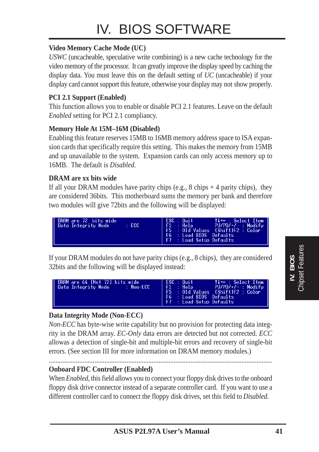#### **Video Memory Cache Mode (UC)**

*USWC* (uncacheable, speculative write combining) is a new cache technology for the video memory of the processor. It can greatly improve the display speed by caching the display data. You must leave this on the default setting of *UC* (uncacheable) if your display card cannot support this feature, otherwise your display may not show properly.

#### **PCI 2.1 Support (Enabled)**

This function allows you to enable or disable PCI 2.1 features. Leave on the default *Enabled* setting for PCI 2.1 compliancy.

#### **Memory Hole At 15M–16M (Disabled)**

Enabling this feature reserves 15MB to 16MB memory address space to ISA expansion cards that specifically require this setting. This makes the memory from 15MB and up unavailable to the system. Expansion cards can only access memory up to 16MB. The default is *Disabled*.

#### **DRAM are xx bits wide**

If all your DRAM modules have parity chips (e.g., 8 chips  $+$  4 parity chips), they are considered 36bits. This motherboard sums the memory per bank and therefore two modules will give 72bits and the following will be displayed:

![](_page_40_Figure_9.jpeg)

If your DRAM modules do not have parity chips (e.g., 8 chips), they are considered 32bits and the following will be displayed instead:

![](_page_40_Figure_11.jpeg)

#### **Data Integrity Mode (Non-ECC)**

*Non-ECC* has byte-wise write capability but no provision for protecting data integrity in the DRAM array. *EC-Only* data errors are detected but not corrected. *ECC* allowas a detection of single-bit and multiple-bit errors and recovery of single-bit errors. (See section III for more information on DRAM memory modules.)

#### **Onboard FDC Controller (Enabled)**

When *Enabled*, this field allows you to connect your floppy disk drives to the onboard floppy disk drive connector instead of a separate controller card. If you want to use a different controller card to connect the floppy disk drives, set this field to *Disabled*.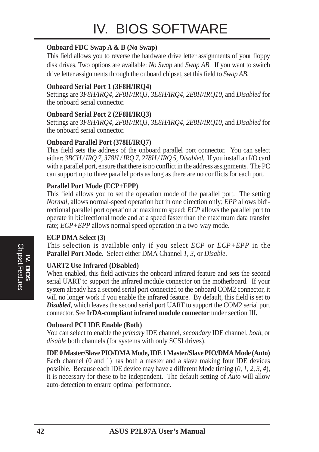#### **Onboard FDC Swap A & B (No Swap)**

This field allows you to reverse the hardware drive letter assignments of your floppy disk drives. Two options are available: *No Swap* and *Swap AB*. If you want to switch drive letter assignments through the onboard chipset, set this field to *Swap AB*.

#### **Onboard Serial Port 1 (3F8H/IRQ4)**

Settings are *3F8H/IRQ4*, *2F8H/IRQ3, 3E8H/IRQ4, 2E8H/IRQ10,* and *Disabled* for the onboard serial connector.

#### **Onboard Serial Port 2 (2F8H/IRQ3)**

Settings are *3F8H/IRQ4, 2F8H/IRQ3*, *3E8H/IRQ4, 2E8H/IRQ10,* and *Disabled* for the onboard serial connector.

#### **Onboard Parallel Port (378H/IRQ7)**

This field sets the address of the onboard parallel port connector. You can select either: *3BCH / IRQ 7, 378H / IRQ 7, 278H / IRQ 5, Disabled.* If you install an I/O card with a parallel port, ensure that there is no conflict in the address assignments. The PC can support up to three parallel ports as long as there are no conflicts for each port.

#### **Parallel Port Mode (ECP+EPP)**

This field allows you to set the operation mode of the parallel port. The setting *Normal*, allows normal-speed operation but in one direction only; *EPP* allows bidirectional parallel port operation at maximum speed; *ECP* allows the parallel port to operate in bidirectional mode and at a speed faster than the maximum data transfer rate; *ECP+EPP* allows normal speed operation in a two-way mode.

#### **ECP DMA Select (3)**

This selection is available only if you select *ECP* or *ECP+EPP* in the **Parallel Port Mode**. Select either DMA Channel *1, 3*, or *Disable*.

#### **UART2 Use Infrared (Disabled)**

When enabled, this field activates the onboard infrared feature and sets the second serial UART to support the infrared module connector on the motherboard. If your system already has a second serial port connected to the onboard COM2 connector, it will no longer work if you enable the infrared feature. By default, this field is set to *Disabled*, which leaves the second serial port UART to support the COM2 serial port connector. See **IrDA-compliant infrared module connector** under section III**.**

#### **Onboard PCI IDE Enable (Both)**

You can select to enable the *primary* IDE channel, *secondary* IDE channel, *both*, or *disable* both channels (for systems with only SCSI drives).

#### **IDE 0 Master/Slave PIO/DMA Mode, IDE 1 Master/Slave PIO/DMA Mode (Auto)**

Each channel (0 and 1) has both a master and a slave making four IDE devices possible. Because each IDE device may have a different Mode timing (*0, 1, 2, 3, 4*), it is necessary for these to be independent. The default setting of *Auto* will allow auto-detection to ensure optimal performance.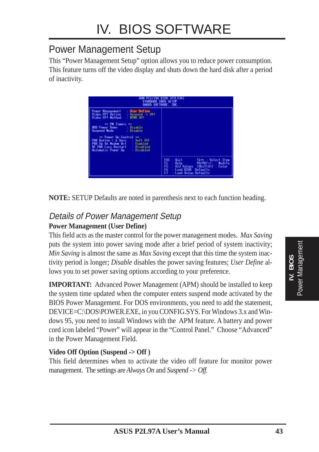### Power Management Setup

This "Power Management Setup" option allows you to reduce power consumption. This feature turns off the video display and shuts down the hard disk after a period of inactivity.

![](_page_42_Figure_3.jpeg)

**NOTE:** SETUP Defaults are noted in parenthesis next to each function heading.

#### Details of Power Management Setup **Power Management (User Define)**

This field acts as the master control for the power management modes. *Max Saving* puts the system into power saving mode after a brief period of system inactivity; *Min Saving* is almost the same as *Max Saving* except that this time the system inactivity period is longer; *Disable* disables the power saving features; *User Define* allows you to set power saving options according to your preference.

**IMPORTANT:** Advanced Power Management (APM) should be installed to keep the system time updated when the computer enters suspend mode activated by the BIOS Power Management. For DOS environments, you need to add the statement, DEVICE=C:\DOS\POWER.EXE, in you CONFIG.SYS. For Windows 3.x and Windows 95, you need to install Windows with the APM feature. A battery and power cord icon labeled "Power" will appear in the "Control Panel." Choose "Advanced" in the Power Management Field.

#### **Video Off Option (Suspend -> Off )**

This field determines when to activate the video off feature for monitor power management. The settings are *Always On* and *Suspend -> Off.*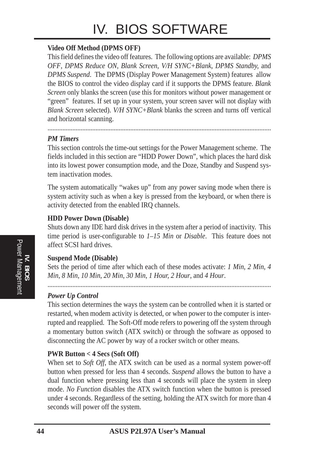## IV. BIOS SOFTWARE

#### **Video Off Method (DPMS OFF)**

This field defines the video off features. The following options are available: *DPMS OFF*, *DPMS Reduce ON*, *Blank Screen*, *V/H SYNC+Blank, DPMS Standby,* and *DPMS Suspend*. The DPMS (Display Power Management System) features allow the BIOS to control the video display card if it supports the DPMS feature. *Blank Screen* only blanks the screen (use this for monitors without power management or "green" features. If set up in your system, your screen saver will not display with *Blank Screen* selected). *V/H SYNC+Blank* blanks the screen and turns off vertical and horizontal scanning.

#### *PM Timers*

This section controls the time-out settings for the Power Management scheme. The fields included in this section are "HDD Power Down", which places the hard disk into its lowest power consumption mode, and the Doze, Standby and Suspend system inactivation modes.

.......................................................................................................................................

The system automatically "wakes up" from any power saving mode when there is system activity such as when a key is pressed from the keyboard, or when there is activity detected from the enabled IRQ channels.

#### **HDD Power Down (Disable)**

Shuts down any IDE hard disk drives in the system after a period of inactivity. This time period is user-configurable to *1–15 Min* or *Disable*. This feature does not affect SCSI hard drives.

#### **Suspend Mode (Disable)**

Sets the period of time after which each of these modes activate: *1 Min*, *2 Min*, *4 Min*, *8 Min*, *10 Min*, *20 Min*, *30 Min*, *1 Hour, 2 Hour*, and *4 Hour*.

.......................................................................................................................................

#### *Power Up Control*

This section determines the ways the system can be controlled when it is started or restarted, when modem activity is detected, or when power to the computer is interrupted and reapplied. The Soft-Off mode refers to powering off the system through a momentary button switch (ATX switch) or through the software as opposed to disconnecting the AC power by way of a rocker switch or other means.

#### **PWR Button < 4 Secs (Soft Off)**

When set to *Soft Off*, the ATX switch can be used as a normal system power-off button when pressed for less than 4 seconds. *Suspend* allows the button to have a dual function where pressing less than 4 seconds will place the system in sleep mode. *No Function* disables the ATX switch function when the button is pressed under 4 seconds. Regardless of the setting, holding the ATX switch for more than 4 seconds will power off the system.

**IV. BIOS** Power Management

**Power Management**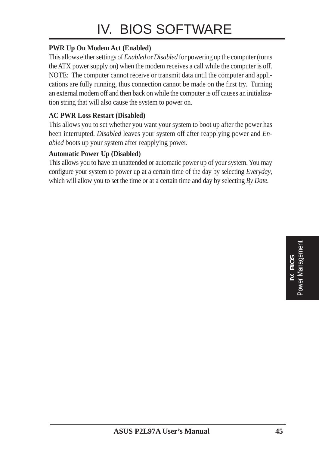## IV. BIOS SOFTWARE

#### **PWR Up On Modem Act (Enabled)**

This allows either settings of *Enabled* or *Disabled* for powering up the computer (turns the ATX power supply on) when the modem receives a call while the computer is off. NOTE: The computer cannot receive or transmit data until the computer and applications are fully running, thus connection cannot be made on the first try. Turning an external modem off and then back on while the computer is off causes an initialization string that will also cause the system to power on.

#### **AC PWR Loss Restart (Disabled)**

This allows you to set whether you want your system to boot up after the power has been interrupted. *Disabled* leaves your system off after reapplying power and *Enabled* boots up your system after reapplying power.

#### **Automatic Power Up (Disabled)**

This allows you to have an unattended or automatic power up of your system. You may configure your system to power up at a certain time of the day by selecting *Everyday*, which will allow you to set the time or at a certain time and day by selecting *By Date.*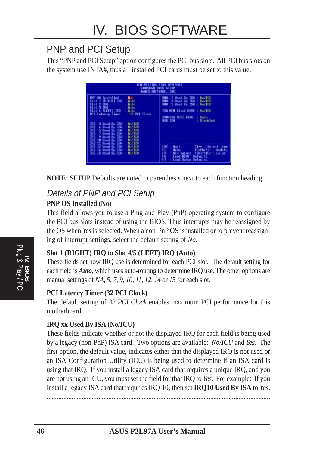### PNP and PCI Setup

This "PNP and PCI Setup" option configures the PCI bus slots. All PCI bus slots on the system use INTA#, thus all installed PCI cards must be set to this value.

|                                                                                                                                                                                                                                                                                                                                                                                                                                                                                                                                                                                                                                                                                                                                    | <b>ANTO SOFTHARE THE</b>                                                                                                                                                                                                     |
|------------------------------------------------------------------------------------------------------------------------------------------------------------------------------------------------------------------------------------------------------------------------------------------------------------------------------------------------------------------------------------------------------------------------------------------------------------------------------------------------------------------------------------------------------------------------------------------------------------------------------------------------------------------------------------------------------------------------------------|------------------------------------------------------------------------------------------------------------------------------------------------------------------------------------------------------------------------------|
| PMP 98 Installed<br>No.<br><b>CREGHT1 180</b><br>Sint 1<br><b>Buto</b><br>$rac{1}{2}$ $rac{1}{2}$ $rac{1}{2}$ $rac{1}{2}$ $rac{1}{2}$ $rac{1}{2}$ $rac{1}{2}$ $rac{1}{2}$ $rac{1}{2}$ $rac{1}{2}$ $rac{1}{2}$ $rac{1}{2}$ $rac{1}{2}$ $rac{1}{2}$ $rac{1}{2}$ $rac{1}{2}$ $rac{1}{2}$ $rac{1}{2}$ $rac{1}{2}$ $rac{1}{2}$ $rac{1}{2}$ $rac{1}{2}$ $rac{1}{2}$ $rac{1}{2}$ $rac{1}{$<br><b>Buto</b><br><b>Buto</b><br><b>A (LEFT) IND</b><br>Sipt<br><b>Butto</b><br><b>32 PCI Clock</b><br><b>PCI Latency Timer</b><br>No/TCH<br>巖<br>3 Showel Buy 1982<br><b>6 Used By 198</b><br>No./TCU<br>5 Boad By 198<br>No./TCD<br>7 Chard By 1981<br>9 Chard By 1988<br><b>Box TCU</b><br><b>Wiz TCTF</b><br>Nov TCD<br><b>18 Ilsed Bu</b> | MAZICU<br>1 Dsed By 188<br>TMR<br>3 Boed By 188<br><b>MATCH</b><br>DHB<br><b>DRAFT</b><br>5 Used By TSR<br><b>ISR MEM Block HRSE :</b><br><b>Hu/TCD</b><br><b>SVMILLOS SCSL RIGHT</b><br>lkito<br>USB IRO<br><b>Disobled</b> |
| 5335<br>Nov 1011<br>11 Sed By<br><b>Nov TCD</b><br>IHD 14 Doed By<br><b>No./100</b><br>198<br><b>Barten</b><br>15 Booil Bu<br>180                                                                                                                                                                                                                                                                                                                                                                                                                                                                                                                                                                                                  | ESC<br><b>Guit</b><br>1144<br>Select Item<br><b>Help</b><br>FU/FO/+/+ =<br><b>Medifu</b><br><b><i><u>Hid Values</u></i></b><br><b>IShiftlez</b><br>Calor<br>EIIB bot.]<br><b>Befaul ts</b><br>Lood Setup Defaults            |

**NOTE:** SETUP Defaults are noted in parenthesis next to each function heading.

## Details of PNP and PCI Setup

#### **PNP OS Installed (No)**

This field allows you to use a Plug-and-Play (PnP) operating system to configure the PCI bus slots instead of using the BIOS. Thus interrupts may be reassigned by the OS when *Yes* is selected. When a non-PnP OS is installed or to prevent reassigning of interrupt settings, select the default setting of *No*.

#### **Slot 1 (RIGHT) IRQ** to **Slot 4/5 (LEFT) IRQ (Auto)**

These fields set how IRQ use is determined for each PCI slot. The default setting for each field is *Auto*, which uses auto-routing to determine IRQ use. The other options are manual settings of *NA, 5, 7, 9, 10, 11, 12, 14* or *15* for each slot.

#### **PCI Latency Timer (32 PCI Clock)**

The default setting of *32 PCI Clock* enables maximum PCI performance for this motherboard.

#### **IRQ xx Used By ISA (No/ICU)**

These fields indicate whether or not the displayed IRQ for each field is being used by a legacy (non-PnP) ISA card. Two options are available: *No/ICU* and *Yes*. The first option, the default value, indicates either that the displayed IRQ is not used or an ISA Configuration Utility (ICU) is being used to determine if an ISA card is using that IRQ. If you install a legacy ISA card that requires a unique IRQ, and you are not using an ICU, you must set the field for that IRQ to *Yes*. For example: If you install a legacy ISA card that requires IRQ 10, then set **IRQ10 Used By ISA** to *Yes*.

......................................................................................................................................

Plug & Play / PCI **IV. BIOS**<br>Plug & Play / PCI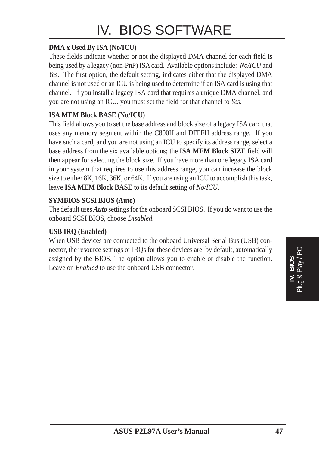#### **DMA x Used By ISA (No/ICU)**

These fields indicate whether or not the displayed DMA channel for each field is being used by a legacy (non-PnP) ISA card. Available options include: *No/ICU* and *Yes*. The first option, the default setting, indicates either that the displayed DMA channel is not used or an ICU is being used to determine if an ISA card is using that channel. If you install a legacy ISA card that requires a unique DMA channel, and you are not using an ICU, you must set the field for that channel to *Yes*.

#### **ISA MEM Block BASE (No/ICU)**

This field allows you to set the base address and block size of a legacy ISA card that uses any memory segment within the C800H and DFFFH address range. If you have such a card, and you are not using an ICU to specify its address range, select a base address from the six available options; the **ISA MEM Block SIZE** field will then appear for selecting the block size. If you have more than one legacy ISA card in your system that requires to use this address range, you can increase the block size to either 8K, 16K, 36K, or 64K. If you are using an ICU to accomplish this task, leave **ISA MEM Block BASE** to its default setting of *No/ICU*.

#### **SYMBIOS SCSI BIOS (Auto)**

The default uses *Auto* settings for the onboard SCSI BIOS. If you do want to use the onboard SCSI BIOS, choose *Disabled.*

#### **USB IRQ (Enabled)**

When USB devices are connected to the onboard Universal Serial Bus (USB) connector, the resource settings or IRQs for these devices are, by default, automatically assigned by the BIOS. The option allows you to enable or disable the function. Leave on *Enabled* to use the onboard USB connector.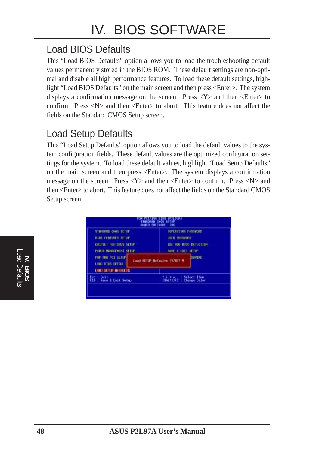### Load BIOS Defaults

This "Load BIOS Defaults" option allows you to load the troubleshooting default values permanently stored in the BIOS ROM. These default settings are non-optimal and disable all high performance features. To load these default settings, highlight "Load BIOS Defaults" on the main screen and then press <Enter>. The system displays a confirmation message on the screen. Press  $\langle Y \rangle$  and then  $\langle$ Enter $\rangle$  to confirm. Press  $\langle N \rangle$  and then  $\langle$ Enter $\rangle$  to abort. This feature does not affect the fields on the Standard CMOS Setup screen.

### Load Setup Defaults

This "Load Setup Defaults" option allows you to load the default values to the system configuration fields. These default values are the optimized configuration settings for the system. To load these default values, highlight "Load Setup Defaults" on the main screen and then press <Enter>. The system displays a confirmation message on the screen. Press <Y> and then <Enter> to confirm. Press <N> and then <Enter> to abort. This feature does not affect the fields on the Standard CMOS Setup screen.

![](_page_47_Figure_5.jpeg)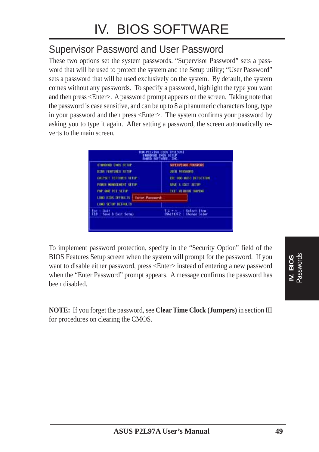### Supervisor Password and User Password

These two options set the system passwords. "Supervisor Password" sets a password that will be used to protect the system and the Setup utility; "User Password" sets a password that will be used exclusively on the system. By default, the system comes without any passwords. To specify a password, highlight the type you want and then press <Enter>. A password prompt appears on the screen. Taking note that the password is case sensitive, and can be up to 8 alphanumeric characters long, type in your password and then press <Enter>. The system confirms your password by asking you to type it again. After setting a password, the screen automatically reverts to the main screen.

|                                                                                                                                         | Sthadard CN9s Setup<br>BATED SOFTWARE THE | スラかー                                                                                                                  |
|-----------------------------------------------------------------------------------------------------------------------------------------|-------------------------------------------|-----------------------------------------------------------------------------------------------------------------------|
| STINGERS CAOS SETUP<br><b>HITS FERRIBES SETUP</b><br><b>CHIPSET FERTURES SETUP</b><br>FORD HONOGRAPHY SETOP<br><b>INP AND IST SETUP</b> |                                           | SUPERVESOR PRSSWORD<br>USER PRESSURID<br>THE HOU DELLY DETECTION<br>SSME & EXIT SETUP<br><b>EXTERNATION STATISTIC</b> |
| <b>LOOD BLOS DEFINILIS</b><br>LOOD SETUP DETAILETS                                                                                      | Enter Personnel:                          |                                                                                                                       |
| <b>Uuit</b><br>播音<br>Save & Eart Setup                                                                                                  |                                           | Select Item<br>Select Item<br>Shift1F2 : Change Celor                                                                 |

To implement password protection, specify in the "Security Option" field of the BIOS Features Setup screen when the system will prompt for the password. If you want to disable either password, press <Enter> instead of entering a new password when the "Enter Password" prompt appears. A message confirms the password has been disabled.

**NOTE:** If you forget the password, see **Clear Time Clock (Jumpers)** in section III for procedures on clearing the CMOS.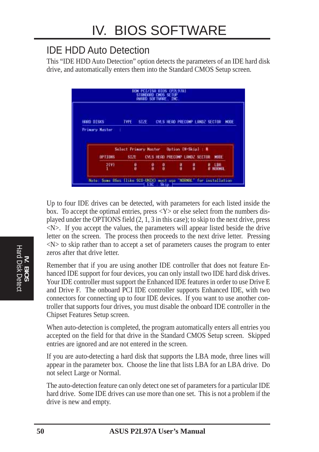### IDE HDD Auto Detection

This "IDE HDD Auto Detection" option detects the parameters of an IDE hard disk drive, and automatically enters them into the Standard CMOS Setup screen.

![](_page_49_Figure_3.jpeg)

Up to four IDE drives can be detected, with parameters for each listed inside the box. To accept the optimal entries, press  $\langle Y \rangle$  or else select from the numbers displayed under the OPTIONS field (2, 1, 3 in this case); to skip to the next drive, press <N>. If you accept the values, the parameters will appear listed beside the drive letter on the screen. The process then proceeds to the next drive letter. Pressing  $\langle N \rangle$  to skip rather than to accept a set of parameters causes the program to enter zeros after that drive letter.

Remember that if you are using another IDE controller that does not feature Enhanced IDE support for four devices, you can only install two IDE hard disk drives. Your IDE controller must support the Enhanced IDE features in order to use Drive E and Drive F. The onboard PCI IDE controller supports Enhanced IDE, with two connectors for connecting up to four IDE devices. If you want to use another controller that supports four drives, you must disable the onboard IDE controller in the Chipset Features Setup screen.

When auto-detection is completed, the program automatically enters all entries you accepted on the field for that drive in the Standard CMOS Setup screen. Skipped entries are ignored and are not entered in the screen.

If you are auto-detecting a hard disk that supports the LBA mode, three lines will appear in the parameter box. Choose the line that lists LBA for an LBA drive. Do not select Large or Normal.

The auto-detection feature can only detect one set of parameters for a particular IDE hard drive. Some IDE drives can use more than one set. This is not a problem if the drive is new and empty.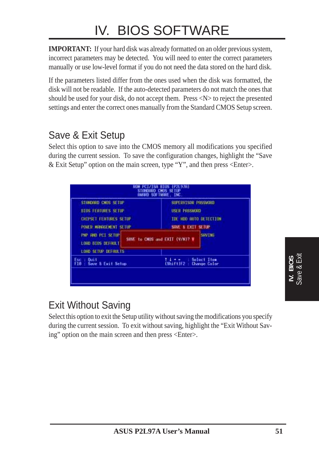## IV. BIOS SOFTWARE

**IMPORTANT:** If your hard disk was already formatted on an older previous system, incorrect parameters may be detected. You will need to enter the correct parameters manually or use low-level format if you do not need the data stored on the hard disk.

If the parameters listed differ from the ones used when the disk was formatted, the disk will not be readable. If the auto-detected parameters do not match the ones that should be used for your disk, do not accept them. Press <N> to reject the presented settings and enter the correct ones manually from the Standard CMOS Setup screen.

### Save & Exit Setup

Select this option to save into the CMOS memory all modifications you specified during the current session. To save the configuration changes, highlight the "Save & Exit Setup" option on the main screen, type "Y", and then press  $\leq$  Enter $\geq$ .

| STANDARD CHOS SETUP                                                  | SUPERVISOR PASSWORD                             |
|----------------------------------------------------------------------|-------------------------------------------------|
| <b>BIOS FEATURES SETUP</b>                                           | <b>USER PRESHORD</b>                            |
| CHIPSET FEATURES SETUP                                               | TDE HDD HUTO DETECTION                          |
| POKER MANAGEMENT SETUP                                               | SAVE & EXIT SETUP                               |
| <b>PMP AND PCI SETUP</b><br>LOAD BIOS DEFAULT<br>LOHD SETUP DEFAULTS | <b>SRVING</b><br>SAVE to CMUS and EXIT (V/N)? V |
| <b>Duit</b>                                                          | <b>Select Item</b>                              |
| Esc.:                                                                | $(ShiftIF2 -$                                   |
| F10 : Save & Exit Setup                                              | Change Color                                    |

### Exit Without Saving

Select this option to exit the Setup utility without saving the modifications you specify during the current session. To exit without saving, highlight the "Exit Without Saving" option on the main screen and then press <Enter>.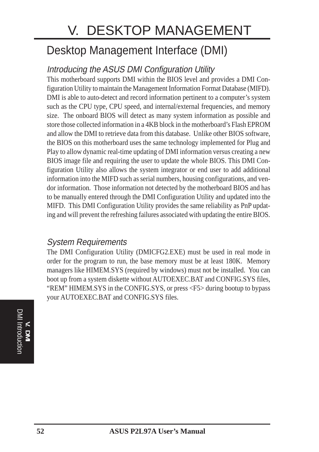## V. DESKTOP MANAGEMENT

## Desktop Management Interface (DMI)

### Introducing the ASUS DMI Configuration Utility

This motherboard supports DMI within the BIOS level and provides a DMI Configuration Utility to maintain the Management Information Format Database (MIFD). DMI is able to auto-detect and record information pertinent to a computer's system such as the CPU type, CPU speed, and internal/external frequencies, and memory size. The onboard BIOS will detect as many system information as possible and store those collected information in a 4KB block in the motherboard's Flash EPROM and allow the DMI to retrieve data from this database. Unlike other BIOS software, the BIOS on this motherboard uses the same technology implemented for Plug and Play to allow dynamic real-time updating of DMI information versus creating a new BIOS image file and requiring the user to update the whole BIOS. This DMI Configuration Utility also allows the system integrator or end user to add additional information into the MIFD such as serial numbers, housing configurations, and vendor information. Those information not detected by the motherboard BIOS and has to be manually entered through the DMI Configuration Utility and updated into the MIFD. This DMI Configuration Utility provides the same reliability as PnP updating and will prevent the refreshing failures associated with updating the entire BIOS.

#### System Requirements

The DMI Configuration Utility (DMICFG2.EXE) must be used in real mode in order for the program to run, the base memory must be at least 180K. Memory managers like HIMEM.SYS (required by windows) must not be installed. You can boot up from a system diskette without AUTOEXEC.BAT and CONFIG.SYS files, "REM" HIMEM.SYS in the CONFIG.SYS, or press <F5> during bootup to bypass your AUTOEXEC.BAT and CONFIG.SYS files.

**DMI Introduction** DMI Introduction **V. DMI**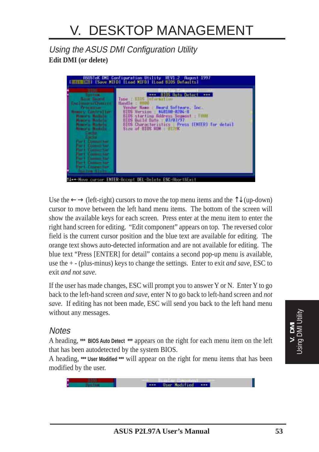#### Using the ASUS DMI Configuration Utility **Edit DMI (or delete)**

![](_page_52_Picture_2.jpeg)

Use the  $\leftarrow \rightarrow$  (left-right) cursors to move the top menu items and the  $\uparrow \downarrow$  (up-down) cursor to move between the left hand menu items. The bottom of the screen will show the available keys for each screen. Press enter at the menu item to enter the right hand screen for editing. "Edit component" appears on top. The reversed color field is the current cursor position and the blue text are available for editing. The orange text shows auto-detected information and are not available for editing. The blue text "Press [ENTER] for detail" contains a second pop-up menu is available, use the + - (plus-minus) keys to change the settings. Enter to exit *and save*, ESC to exit *and not save*.

If the user has made changes, ESC will prompt you to answer Y or N. Enter Y to go back to the left-hand screen *and save*, enter N to go back to left-hand screen and *not save*. If editing has not been made, ESC will send you back to the left hand menu without any messages.

#### **Notes**

A heading, **\*\*\* BIOS Auto Detect \*\*\*** appears on the right for each menu item on the left that has been autodetected by the system BIOS.

A heading, **\*\*\* User Modified \*\*\*** will appear on the right for menu items that has been modified by the user.

![](_page_52_Picture_8.jpeg)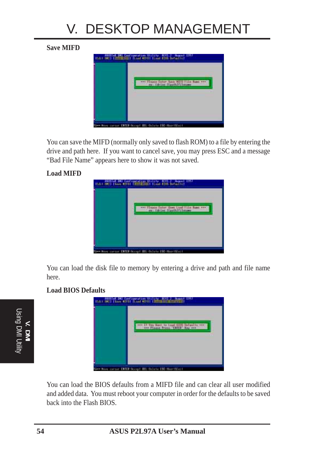## V. DESKTOP MANAGEMENT

#### **Save MIFD**

![](_page_53_Picture_2.jpeg)

You can save the MIFD (normally only saved to flash ROM) to a file by entering the drive and path here. If you want to cancel save, you may press ESC and a message "Bad File Name" appears here to show it was not saved.

#### **Load MIFD**

![](_page_53_Picture_5.jpeg)

You can load the disk file to memory by entering a drive and path and file name here.

#### **Load BIOS Defaults**

![](_page_53_Picture_8.jpeg)

| <b>ASSIst DMI Configuration Utility PLVI 2 Assoct 1997</b><br>http <b>HEI ISaac MIFDI ILood MIFDI I</b> |
|---------------------------------------------------------------------------------------------------------|
| If you hand to Lowel Gills Maturatio +++<br>+++ Plasse Fress THITRY Noy +++                             |
|                                                                                                         |
| <b>CALLED AN ANNUAL CONTRACT OF A STATE AND A STATEMENT</b>                                             |

You can load the BIOS defaults from a MIFD file and can clear all user modified and added data. You must reboot your computer in order for the defaults to be saved back into the Flash BIOS.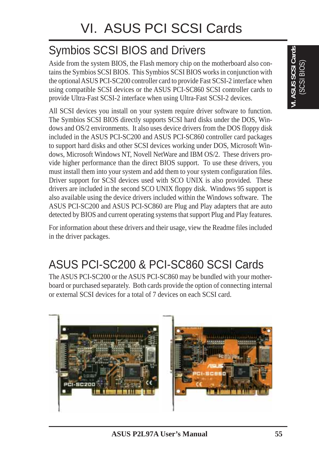## Symbios SCSI BIOS and Drivers

Aside from the system BIOS, the Flash memory chip on the motherboard also contains the Symbios SCSI BIOS. This Symbios SCSI BIOS works in conjunction with the optional ASUS PCI-SC200 controller card to provide Fast SCSI-2 interface when using compatible SCSI devices or the ASUS PCI-SC860 SCSI controller cards to provide Ultra-Fast SCSI-2 interface when using Ultra-Fast SCSI-2 devices.

All SCSI devices you install on your system require driver software to function. The Symbios SCSI BIOS directly supports SCSI hard disks under the DOS, Windows and OS/2 environments. It also uses device drivers from the DOS floppy disk included in the ASUS PCI-SC200 and ASUS PCI-SC860 controller card packages to support hard disks and other SCSI devices working under DOS, Microsoft Windows, Microsoft Windows NT, Novell NetWare and IBM OS/2. These drivers provide higher performance than the direct BIOS support. To use these drivers, you must install them into your system and add them to your system configuration files. Driver support for SCSI devices used with SCO UNIX is also provided. These drivers are included in the second SCO UNIX floppy disk. Windows 95 support is also available using the device drivers included within the Windows software. The ASUS PCI-SC200 and ASUS PCI-SC860 are Plug and Play adapters that are auto detected by BIOS and current operating systems that support Plug and Play features.

For information about these drivers and their usage, view the Readme files included in the driver packages.

## ASUS PCI-SC200 & PCI-SC860 SCSI Cards

The ASUS PCI-SC200 or the ASUS PCI-SC860 may be bundled with your motherboard or purchased separately. Both cards provide the option of connecting internal or external SCSI devices for a total of 7 devices on each SCSI card.

![](_page_54_Picture_8.jpeg)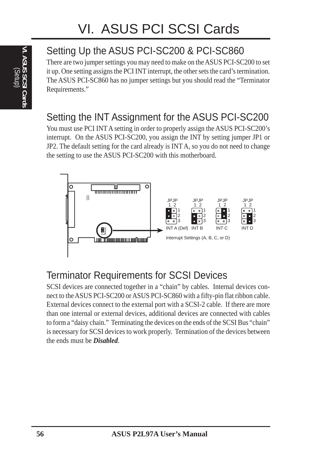# **VI. ASUS SCSI Cards** (Setup)

## Setting Up the ASUS PCI-SC200 & PCI-SC860

There are two jumper settings you may need to make on the ASUS PCI-SC200 to set it up. One setting assigns the PCI INT interrupt, the other sets the card's termination. The ASUS PCI-SC860 has no jumper settings but you should read the "Terminator Requirements."

### Setting the INT Assignment for the ASUS PCI-SC200

You must use PCI INT A setting in order to properly assign the ASUS PCI-SC200's interrupt. On the ASUS PCI-SC200, you assign the INT by setting jumper JP1 or JP2. The default setting for the card already is INT A, so you do not need to change the setting to use the ASUS PCI-SC200 with this motherboard.

![](_page_55_Figure_6.jpeg)

### Terminator Requirements for SCSI Devices

SCSI devices are connected together in a "chain" by cables. Internal devices connect to the ASUS PCI-SC200 or ASUS PCI-SC860 with a fifty-pin flat ribbon cable. External devices connect to the external port with a SCSI-2 cable. If there are more than one internal or external devices, additional devices are connected with cables to form a "daisy chain." Terminating the devices on the ends of the SCSI Bus "chain" is necessary for SCSI devices to work properly. Termination of the devices between the ends must be *Disabled*.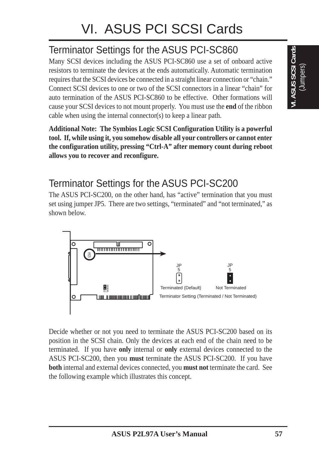## Terminator Settings for the ASUS PCI-SC860

Many SCSI devices including the ASUS PCI-SC860 use a set of onboard active resistors to terminate the devices at the ends automatically. Automatic termination requires that the SCSI devices be connected in a straight linear connection or "chain." Connect SCSI devices to one or two of the SCSI connectors in a linear "chain" for auto termination of the ASUS PCI-SC860 to be effective. Other formations will cause your SCSI devices to not mount properly. You must use the **end** of the ribbon cable when using the internal connector(s) to keep a linear path.

**Additional Note: The Symbios Logic SCSI Configuration Utility is a powerful tool. If, while using it, you somehow disable all your controllers or cannot enter the configuration utility, pressing "Ctrl-A" after memory count during reboot allows you to recover and reconfigure.**

### Terminator Settings for the ASUS PCI-SC200

The ASUS PCI-SC200, on the other hand, has "active" termination that you must set using jumper JP5. There are two settings, "terminated" and "not terminated," as shown below.

![](_page_56_Figure_6.jpeg)

Decide whether or not you need to terminate the ASUS PCI-SC200 based on its position in the SCSI chain. Only the devices at each end of the chain need to be terminated. If you have **only** internal or **only** external devices connected to the ASUS PCI-SC200, then you **must** terminate the ASUS PCI-SC200. If you have **both** internal and external devices connected, you **must not** terminate the card. See the following example which illustrates this concept.